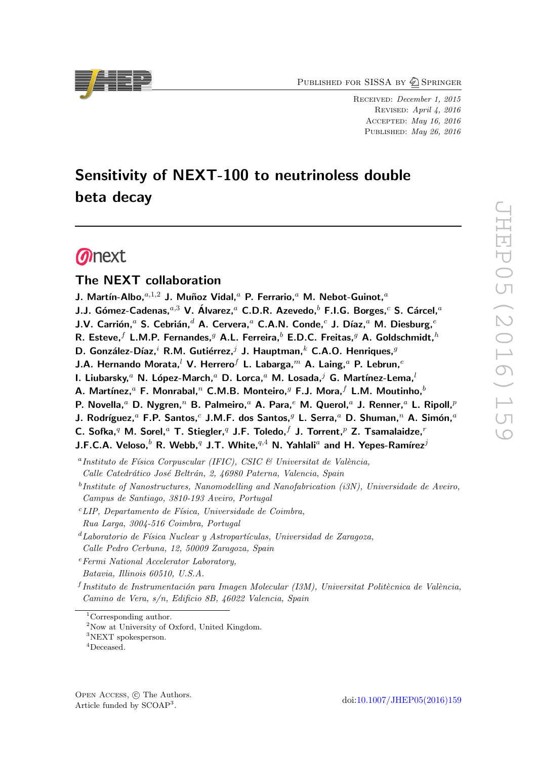PUBLISHED FOR SISSA BY 2 SPRINGER

RECEIVED: December 1, 2015 Revised: April 4, 2016 Accepted: May 16, 2016 PUBLISHED: May 26, 2016

# Sensitivity of NEXT-100 to neutrinoless double beta decay

# **Onext**

# The NEXT collaboration

- J. Martín-Albo, $a,1,2}$  J. Muñoz Vidal, $a$  P. Ferrario, $a$  M. Nebot-Guinot, $a$
- J.J. Gómez-Cadenas,<sup> $a,3$ </sup> V. Álvarez, $^a$  C.D.R. Azevedo, $^b$  F.I.G. Borges, $^c$  S. Cárcel, $^a$
- J.V. Carrión,<sup>a</sup> S. Cebrián,<sup>d</sup> A. Cervera,<sup>a</sup> C.A.N. Conde,<sup>c</sup> J. Díaz,<sup>a</sup> M. Diesburg,<sup>e</sup>
- R. Esteve,  $f$  L.M.P. Fernandes,  $g$  A.L. Ferreira,  $b$  E.D.C. Freitas,  $g$  A. Goldschmidt,  $h$
- D. González-Díaz,<sup>i</sup> R.M. Gutiérrez,<sup>j</sup> J. Hauptman,<sup>k</sup> C.A.O. Henriques,<sup>g</sup>
- J.A. Hernando Morata,<sup>l</sup> V. Herrero<sup>f</sup> L. Labarga,<sup>*m*</sup> A. Laing,<sup>a</sup> P. Lebrun,<sup>e</sup>
- I. Liubarsky,<sup>a</sup> N. López-March,<sup>a</sup> D. Lorca,<sup>a</sup> M. Losada,<sup>j</sup> G. Martínez-Lema,<sup>l</sup>
- A. Martínez,<sup>a</sup> F. Monrabal,<sup>n</sup> C.M.B. Monteiro,<sup>g</sup> F.J. Mora, $f$  L.M. Moutinho,<sup>b</sup>
- P. Novella,<sup>*a*</sup> D. Nygren,<sup>*n*</sup> B. Palmeiro,<sup>*a*</sup> A. Para,<sup>*e*</sup> M. Querol,<sup>*a*</sup> J. Renner,<sup>*a*</sup> L. Ripoll,<sup>*p*</sup>
- J. Rodríguez,<sup>a</sup> F.P. Santos,<sup>c</sup> J.M.F. dos Santos,<sup>g</sup> L. Serra,<sup>a</sup> D. Shuman,<sup>n</sup> A. Simón,<sup>a</sup>
- C. Sofka, $q$  M. Sorel, $q$  T. Stiegler, $q$  J.F. Toledo, $f$  J. Torrent, $p$  Z. Tsamalaidze, $r$
- J.F.C.A. Veloso, $b$  R. Webb,<sup>q</sup> J.T. White,<sup>q,4</sup> N. Yahlali<sup>a</sup> and H. Yepes-Ramírez<sup>j</sup>
- <sup>a</sup> Instituto de Física Corpuscular (IFIC), CSIC & Universitat de València,
- Calle Catedrático José Beltrán, 2, 46980 Paterna, Valencia, Spain
- $^{b}$ Institute of Nanostructures, Nanomodelling and Nanofabrication (i3N), Universidade de Aveiro, Campus de Santiago, 3810-193 Aveiro, Portugal
- ${}^{c}$ LIP, Departamento de Física, Universidade de Coimbra,
- Rua Larga, 3004-516 Coimbra, Portugal
- ${}^d$ Laboratorio de Física Nuclear y Astropartículas, Universidad de Zaragoza, Calle Pedro Cerbuna, 12, 50009 Zaragoza, Spain
- $e<sup>e</sup> Fermi National Accelerator Laboratory$ .
- Batavia, Illinois 60510, U.S.A.
- <sup>f</sup> Instituto de Instrumentación para Imagen Molecular (I3M), Universitat Politècnica de València, Camino de Vera, s/n, Edificio 8B, 46022 Valencia, Spain



 $^1\mathrm{Corresponding}$  author.

<sup>2</sup>Now at University of Oxford, United Kingdom.

<sup>3</sup>NEXT spokesperson.

<sup>4</sup>Deceased.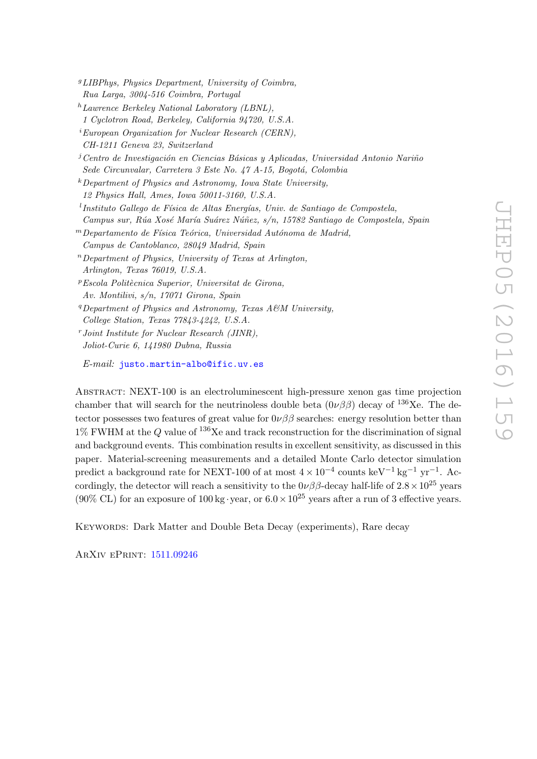- <sup>g</sup>LIBPhys, Physics Department, University of Coimbra, Rua Larga, 3004-516 Coimbra, Portugal
- $h$ Lawrence Berkeley National Laboratory (LBNL),
- 1 Cyclotron Road, Berkeley, California 94720, U.S.A.
- $iEuropean Organization for Nuclear Research (CERN),$
- CH-1211 Geneva 23, Switzerland  $j$ Centro de Investigación en Ciencias Básicas y Aplicadas, Universidad Antonio Nariño
- Sede Circunvalar, Carretera 3 Este No. 47 A-15, Bogotá, Colombia
- $k$ Department of Physics and Astronomy, Iowa State University,
- 12 Physics Hall, Ames, Iowa 50011-3160, U.S.A.
- <sup>l</sup>Instituto Gallego de Física de Altas Energías, Univ. de Santiago de Compostela,
- Campus sur, Rúa Xosé María Suárez Núñez, s/n, 15782 Santiago de Compostela, Spain
- $m$ Departamento de Física Teórica, Universidad Autónoma de Madrid,
- Campus de Cantoblanco, 28049 Madrid, Spain
- $n$ -Department of Physics, University of Texas at Arlington, Arlington, Texas 76019, U.S.A.
- $PEScola$  Politècnica Superior, Universitat de Girona, Av. Montilivi, s/n, 17071 Girona, Spain
- $q$ Department of Physics and Astronomy, Texas A&M University, College Station, Texas 77843-4242, U.S.A.
- <sup>r</sup>Joint Institute for Nuclear Research (JINR), Joliot-Curie 6, 141980 Dubna, Russia

 $E-mail:$  [justo.martin-albo@ific.uv.es](mailto:justo.martin-albo@ific.uv.es)

Abstract: NEXT-100 is an electroluminescent high-pressure xenon gas time projection chamber that will search for the neutrinoless double beta  $(0\nu\beta\beta)$  decay of <sup>136</sup>Xe. The detector possesses two features of great value for  $0\nu\beta\beta$  searches: energy resolution better than  $1\%$  FWHM at the Q value of  $136$ Xe and track reconstruction for the discrimination of signal and background events. This combination results in excellent sensitivity, as discussed in this paper. Material-screening measurements and a detailed Monte Carlo detector simulation predict a background rate for NEXT-100 of at most  $4 \times 10^{-4}$  counts keV<sup>-1</sup> kg<sup>-1</sup> yr<sup>-1</sup>. Accordingly, the detector will reach a sensitivity to the  $0\nu\beta\beta$ -decay half-life of  $2.8 \times 10^{25}$  years (90% CL) for an exposure of 100 kg · year, or  $6.0 \times 10^{25}$  years after a run of 3 effective years.

KEYWORDS: Dark Matter and Double Beta Decay (experiments), Rare decay

ArXiv ePrint: [1511.09246](http://arxiv.org/abs/1511.09246)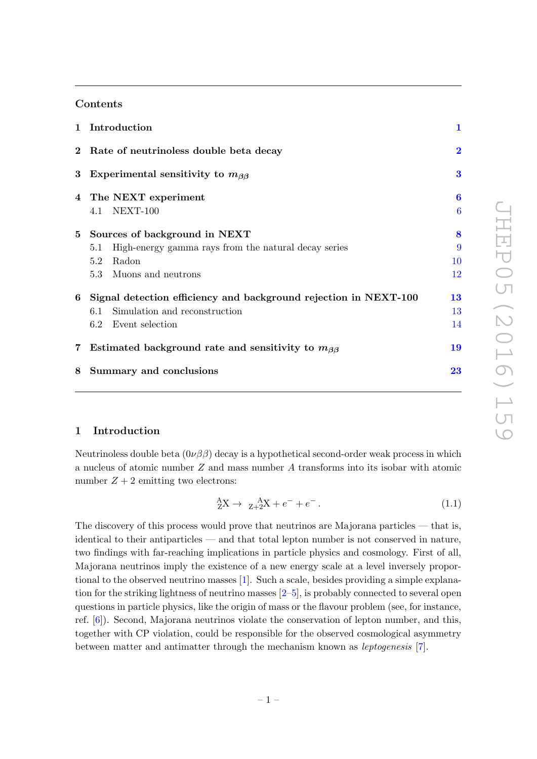## Contents

|                | 1 Introduction                                                     | $\mathbf{1}$   |
|----------------|--------------------------------------------------------------------|----------------|
|                | 2 Rate of neutrinoless double beta decay                           | $\overline{2}$ |
| 3              | Experimental sensitivity to $m_{\beta\beta}$                       | 3              |
|                | 4 The NEXT experiment                                              | 6              |
|                | 4.1 NEXT-100                                                       | 6              |
|                | 5 Sources of background in NEXT                                    | 8              |
|                | High-energy gamma rays from the natural decay series<br>5.1        | 9              |
|                | Radon<br>5.2                                                       | 10             |
|                | 5.3 Muons and neutrons                                             | 12             |
|                | 6 Signal detection efficiency and background rejection in NEXT-100 | 13             |
|                | Simulation and reconstruction<br>6.1                               | 13             |
|                | 6.2 Event selection                                                | 14             |
| $7\phantom{.}$ | Estimated background rate and sensitivity to $m_{\beta\beta}$      | 19             |
|                | 8 Summary and conclusions                                          | 23             |

# <span id="page-2-0"></span>1 Introduction

Neutrinoless double beta  $(0\nu\beta\beta)$  decay is a hypothetical second-order weak process in which a nucleus of atomic number Z and mass number A transforms into its isobar with atomic number  $Z + 2$  emitting two electrons:

$$
{}_{Z}^{A}X \to {}_{Z+2}^{A}X + e^{-} + e^{-}.
$$
\n(1.1)

The discovery of this process would prove that neutrinos are Majorana particles — that is, identical to their antiparticles — and that total lepton number is not conserved in nature, two findings with far-reaching implications in particle physics and cosmology. First of all, Majorana neutrinos imply the existence of a new energy scale at a level inversely proportional to the observed neutrino masses [\[1\]](#page-25-0). Such a scale, besides providing a simple explanation for the striking lightness of neutrino masses  $[2-5]$  $[2-5]$ , is probably connected to several open questions in particle physics, like the origin of mass or the flavour problem (see, for instance, ref. [\[6\]](#page-26-1)). Second, Majorana neutrinos violate the conservation of lepton number, and this, together with CP violation, could be responsible for the observed cosmological asymmetry between matter and antimatter through the mechanism known as leptogenesis [\[7\]](#page-26-2).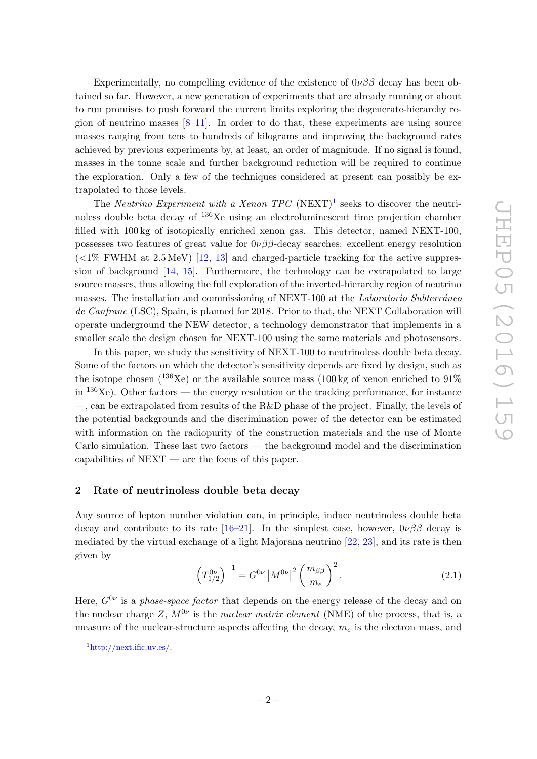Experimentally, no compelling evidence of the existence of  $0\nu\beta\beta$  decay has been obtained so far. However, a new generation of experiments that are already running or about to run promises to push forward the current limits exploring the degenerate-hierarchy region of neutrino masses  $[8-11]$  $[8-11]$ . In order to do that, these experiments are using source masses ranging from tens to hundreds of kilograms and improving the background rates achieved by previous experiments by, at least, an order of magnitude. If no signal is found, masses in the tonne scale and further background reduction will be required to continue the exploration. Only a few of the techniques considered at present can possibly be extrapolated to those levels.

The Neutrino Experiment with a Xenon TPC (NEXT)<sup>[1](#page-3-1)</sup> seeks to discover the neutrinoless double beta decay of  $136Xe$  using an electroluminescent time projection chamber filled with 100 kg of isotopically enriched xenon gas. This detector, named NEXT-100, possesses two features of great value for  $0\nu\beta\beta$ -decay searches: excellent energy resolution  $\langle 21\% \text{ FWHM at } 2.5 \text{ MeV} \rangle$  [\[12,](#page-26-5) [13\]](#page-26-6) and charged-particle tracking for the active suppression of background [\[14,](#page-26-7) [15\]](#page-26-8). Furthermore, the technology can be extrapolated to large source masses, thus allowing the full exploration of the inverted-hierarchy region of neutrino masses. The installation and commissioning of NEXT-100 at the *Laboratorio Subterráneo* de Canfranc (LSC), Spain, is planned for 2018. Prior to that, the NEXT Collaboration will operate underground the NEW detector, a technology demonstrator that implements in a smaller scale the design chosen for NEXT-100 using the same materials and photosensors.

In this paper, we study the sensitivity of NEXT-100 to neutrinoless double beta decay. Some of the factors on which the detector's sensitivity depends are fixed by design, such as the isotope chosen  $(^{136}\text{Xe})$  or the available source mass  $(100 \text{ kg of xenon enriched to } 91\%$ in  $136Xe$ ). Other factors — the energy resolution or the tracking performance, for instance —, can be extrapolated from results of the R&D phase of the project. Finally, the levels of the potential backgrounds and the discrimination power of the detector can be estimated with information on the radiopurity of the construction materials and the use of Monte Carlo simulation. These last two factors — the background model and the discrimination capabilities of  $NEXT$  — are the focus of this paper.

### <span id="page-3-0"></span>2 Rate of neutrinoless double beta decay

Any source of lepton number violation can, in principle, induce neutrinoless double beta decay and contribute to its rate [\[16–](#page-26-9)[21\]](#page-26-10). In the simplest case, however,  $0\nu\beta\beta$  decay is mediated by the virtual exchange of a light Majorana neutrino [\[22,](#page-27-0) [23\]](#page-27-1), and its rate is then given by

<span id="page-3-2"></span>
$$
\left(T_{1/2}^{0\nu}\right)^{-1} = G^{0\nu} \left|M^{0\nu}\right|^2 \left(\frac{m_{\beta\beta}}{m_e}\right)^2.
$$
 (2.1)

Here,  $G^{0\nu}$  is a *phase-space factor* that depends on the energy release of the decay and on the nuclear charge Z,  $M^{0\nu}$  is the *nuclear matrix element* (NME) of the process, that is, a measure of the nuclear-structure aspects affecting the decay,  $m_e$  is the electron mass, and

<span id="page-3-1"></span> $\frac{1}{\text{http://next.info.uv.es/}}$ .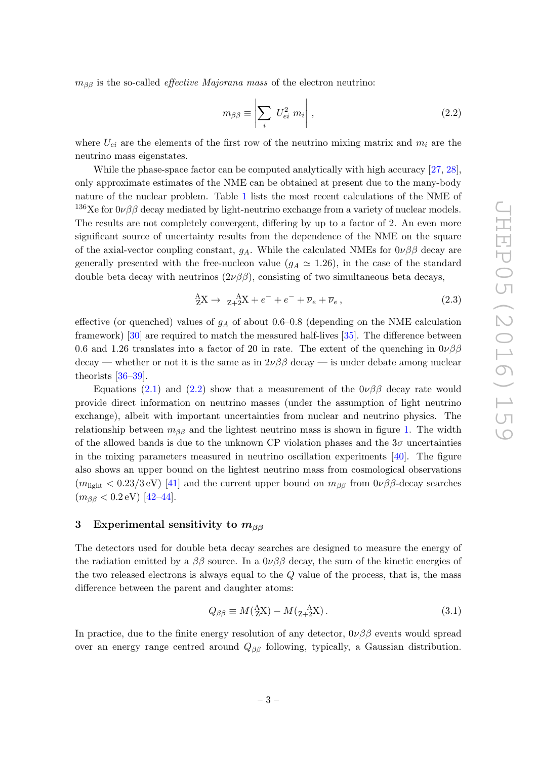$m_{\beta\beta}$  is the so-called *effective Majorana mass* of the electron neutrino:

<span id="page-4-1"></span>
$$
m_{\beta\beta} \equiv \left| \sum_{i} U_{ei}^{2} m_{i} \right|, \qquad (2.2)
$$

where  $U_{ei}$  are the elements of the first row of the neutrino mixing matrix and  $m_i$  are the neutrino mass eigenstates.

While the phase-space factor can be computed analytically with high accuracy [\[27,](#page-27-2) [28\]](#page-27-3), only approximate estimates of the NME can be obtained at present due to the many-body nature of the nuclear problem. Table [1](#page-5-0) lists the most recent calculations of the NME of <sup>136</sup>Xe for  $0\nu\beta\beta$  decay mediated by light-neutrino exchange from a variety of nuclear models. The results are not completely convergent, differing by up to a factor of 2. An even more significant source of uncertainty results from the dependence of the NME on the square of the axial-vector coupling constant,  $g_A$ . While the calculated NMEs for  $0\nu\beta\beta$  decay are generally presented with the free-nucleon value  $(g_A \simeq 1.26)$ , in the case of the standard double beta decay with neutrinos  $(2\nu\beta\beta)$ , consisting of two simultaneous beta decays,

$$
{}_{Z}^{A}X \to {}_{Z+2}^{A}X + e^{-} + e^{-} + \overline{\nu}_e + \overline{\nu}_e , \qquad (2.3)
$$

effective (or quenched) values of  $g_A$  of about 0.6–0.8 (depending on the NME calculation framework) [\[30\]](#page-27-4) are required to match the measured half-lives [\[35\]](#page-27-5). The difference between 0.6 and 1.26 translates into a factor of 20 in rate. The extent of the quenching in  $0\nu\beta\beta$ decay — whether or not it is the same as in  $2\nu\beta\beta$  decay — is under debate among nuclear theorists [\[36–](#page-27-6)[39\]](#page-27-7).

Equations [\(2.1\)](#page-3-2) and [\(2.2\)](#page-4-1) show that a measurement of the  $0\nu\beta\beta$  decay rate would provide direct information on neutrino masses (under the assumption of light neutrino exchange), albeit with important uncertainties from nuclear and neutrino physics. The relationship between  $m_{\beta\beta}$  and the lightest neutrino mass is shown in figure [1.](#page-5-1) The width of the allowed bands is due to the unknown CP violation phases and the  $3\sigma$  uncertainties in the mixing parameters measured in neutrino oscillation experiments  $[40]$ . The figure also shows an upper bound on the lightest neutrino mass from cosmological observations  $(m_{\text{light}} < 0.23/3 \text{ eV})$  [\[41\]](#page-28-0) and the current upper bound on  $m_{\beta\beta}$  from  $0\nu\beta\beta$ -decay searches  $(m_{\beta\beta} < 0.2 \,\text{eV})$  [\[42–](#page-28-1)[44\]](#page-28-2).

#### <span id="page-4-0"></span>3 Experimental sensitivity to  $m_{\beta\beta}$

The detectors used for double beta decay searches are designed to measure the energy of the radiation emitted by a  $\beta\beta$  source. In a  $0\nu\beta\beta$  decay, the sum of the kinetic energies of the two released electrons is always equal to the  $Q$  value of the process, that is, the mass difference between the parent and daughter atoms:

$$
Q_{\beta\beta} \equiv M(^{A}_{Z}X) - M(^{A}_{Z+2}X). \qquad (3.1)
$$

In practice, due to the finite energy resolution of any detector,  $0\nu\beta\beta$  events would spread over an energy range centred around  $Q_{\beta\beta}$  following, typically, a Gaussian distribution.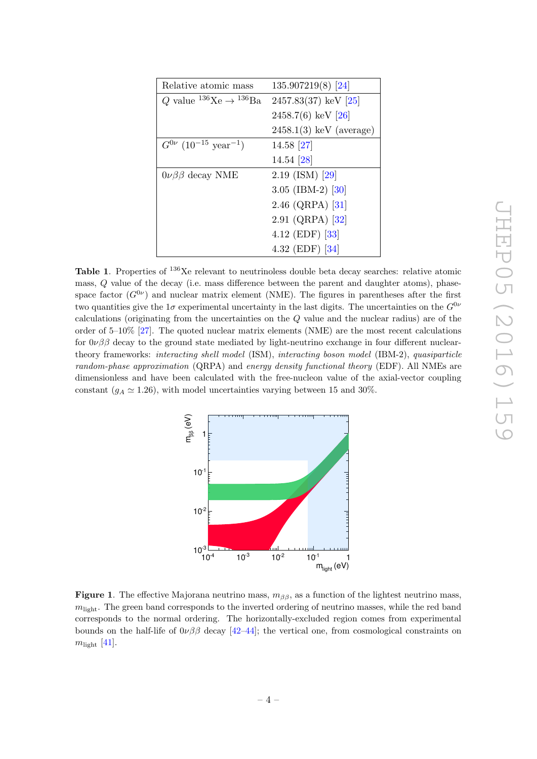| Relative atomic mass                                  | 135.907219(8) [24]        |
|-------------------------------------------------------|---------------------------|
| Q value $^{136}\text{Xe} \rightarrow ^{136}\text{Ba}$ | $2457.83(37)$ keV [25]    |
|                                                       | 2458.7(6) keV [26]        |
|                                                       | $2458.1(3)$ keV (average) |
| $G^{0\nu}$ (10 <sup>-15</sup> year <sup>-1</sup> )    | 14.58 [27]                |
|                                                       | 14.54 [28]                |
| $0\nu\beta\beta$ decay NME                            | $2.19$ (ISM) [29]         |
|                                                       | 3.05 (IBM-2) [30]         |
|                                                       | $2.46$ (QRPA) [31]        |
|                                                       | 2.91 (QRPA) [32]          |
|                                                       | 4.12 (EDF) [33]           |
|                                                       | 4.32 (EDF) $[34]$         |

<span id="page-5-0"></span>Table 1. Properties of <sup>136</sup>Xe relevant to neutrinoless double beta decay searches: relative atomic mass, Q value of the decay (i.e. mass difference between the parent and daughter atoms), phasespace factor  $(G^{0\nu})$  and nuclear matrix element (NME). The figures in parentheses after the first two quantities give the  $1\sigma$  experimental uncertainty in the last digits. The uncertainties on the  $G^{0\nu}$ calculations (originating from the uncertainties on the Q value and the nuclear radius) are of the order of  $5-10\%$  [\[27\]](#page-27-2). The quoted nuclear matrix elements (NME) are the most recent calculations for  $0\nu\beta\beta$  decay to the ground state mediated by light-neutrino exchange in four different nucleartheory frameworks: interacting shell model (ISM), interacting boson model (IBM-2), quasiparticle random-phase approximation (QRPA) and energy density functional theory (EDF). All NMEs are dimensionless and have been calculated with the free-nucleon value of the axial-vector coupling constant ( $g_A \approx 1.26$ ), with model uncertainties varying between 15 and 30%.



<span id="page-5-1"></span>Figure 1. The effective Majorana neutrino mass,  $m_{\beta\beta}$ , as a function of the lightest neutrino mass,  $m_{\text{light}}$ . The green band corresponds to the inverted ordering of neutrino masses, while the red band corresponds to the normal ordering. The horizontally-excluded region comes from experimental bounds on the half-life of  $0\nu\beta\beta$  decay [\[42](#page-28-1)[–44\]](#page-28-2); the vertical one, from cosmological constraints on  $m_{\text{light}}$  [\[41\]](#page-28-0).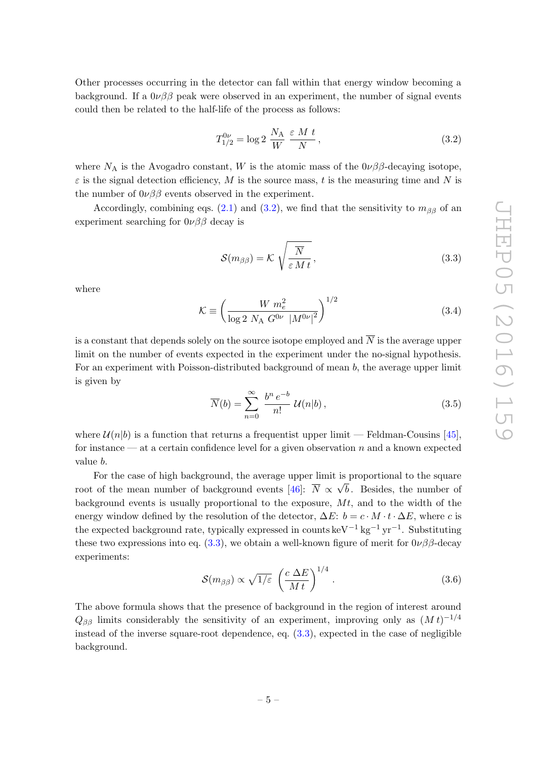Other processes occurring in the detector can fall within that energy window becoming a background. If a  $0\nu\beta\beta$  peak were observed in an experiment, the number of signal events could then be related to the half-life of the process as follows:

<span id="page-6-0"></span>
$$
T_{1/2}^{0\nu} = \log 2 \frac{N_A}{W} \frac{\varepsilon M t}{N},\qquad(3.2)
$$

where  $N_A$  is the Avogadro constant, W is the atomic mass of the  $0\nu\beta\beta$ -decaying isotope,  $\varepsilon$  is the signal detection efficiency, M is the source mass, t is the measuring time and N is the number of  $0\nu\beta\beta$  events observed in the experiment.

Accordingly, combining eqs. [\(2.1\)](#page-3-2) and [\(3.2\)](#page-6-0), we find that the sensitivity to  $m_{\beta\beta}$  of an experiment searching for  $0\nu\beta\beta$  decay is

<span id="page-6-1"></span>
$$
S(m_{\beta\beta}) = \mathcal{K} \sqrt{\frac{\overline{N}}{\varepsilon M t}},
$$
\n(3.3)

where

$$
\mathcal{K} \equiv \left(\frac{W m_e^2}{\log 2 N_A G^{0\nu} |M^{0\nu}|^2}\right)^{1/2} \tag{3.4}
$$

is a constant that depends solely on the source isotope employed and  $\overline{N}$  is the average upper limit on the number of events expected in the experiment under the no-signal hypothesis. For an experiment with Poisson-distributed background of mean b, the average upper limit is given by

$$
\overline{N}(b) = \sum_{n=0}^{\infty} \frac{b^n e^{-b}}{n!} \mathcal{U}(n|b), \qquad (3.5)
$$

where  $\mathcal{U}(n|b)$  is a function that returns a frequentist upper limit — Feldman-Cousins [\[45\]](#page-28-3), for instance — at a certain confidence level for a given observation  $n$  and a known expected value b.

For the case of high background, the average upper limit is proportional to the square root of the mean number of background events [\[46\]](#page-28-4):  $\overline{N} \propto \sqrt{b}$ . Besides, the number of background events is usually proportional to the exposure,  $Mt$ , and to the width of the energy window defined by the resolution of the detector,  $\Delta E: b = c \cdot M \cdot t \cdot \Delta E$ , where c is the expected background rate, typically expressed in counts keV<sup>-1</sup> kg<sup>-1</sup> yr<sup>-1</sup>. Substituting these two expressions into eq. [\(3.3\)](#page-6-1), we obtain a well-known figure of merit for  $0\nu\beta\beta$ -decay experiments:

<span id="page-6-2"></span>
$$
S(m_{\beta\beta}) \propto \sqrt{1/\varepsilon} \left(\frac{c \Delta E}{Mt}\right)^{1/4}.
$$
 (3.6)

The above formula shows that the presence of background in the region of interest around  $Q_{\beta\beta}$  limits considerably the sensitivity of an experiment, improving only as  $(M t)^{-1/4}$ instead of the inverse square-root dependence, eq.  $(3.3)$ , expected in the case of negligible background.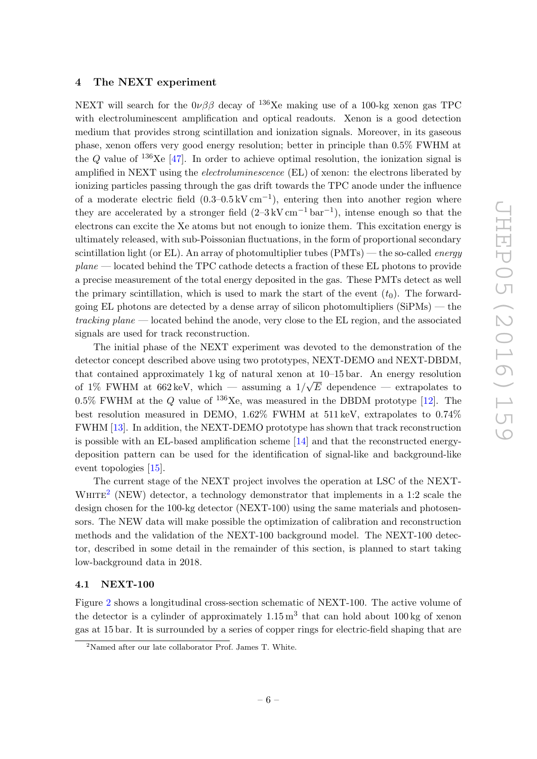#### <span id="page-7-0"></span>4 The NEXT experiment

NEXT will search for the  $0\nu\beta\beta$  decay of <sup>136</sup>Xe making use of a 100-kg xenon gas TPC with electroluminescent amplification and optical readouts. Xenon is a good detection medium that provides strong scintillation and ionization signals. Moreover, in its gaseous phase, xenon offers very good energy resolution; better in principle than 0.5% FWHM at the Q value of <sup>136</sup>Xe [\[47\]](#page-28-5). In order to achieve optimal resolution, the ionization signal is amplified in NEXT using the electroluminescence (EL) of xenon: the electrons liberated by ionizing particles passing through the gas drift towards the TPC anode under the influence of a moderate electric field  $(0.3-0.5\,\mathrm{kV}\,\mathrm{cm}^{-1})$ , entering then into another region where they are accelerated by a stronger field  $(2-3 \text{ kV cm}^{-1} \text{ bar}^{-1})$ , intense enough so that the electrons can excite the Xe atoms but not enough to ionize them. This excitation energy is ultimately released, with sub-Poissonian fluctuations, in the form of proportional secondary scintillation light (or EL). An array of photomultiplier tubes  $(PMTs)$  — the so-called *energy* plane — located behind the TPC cathode detects a fraction of these EL photons to provide a precise measurement of the total energy deposited in the gas. These PMTs detect as well the primary scintillation, which is used to mark the start of the event  $(t_0)$ . The forwardgoing EL photons are detected by a dense array of silicon photomultipliers (SiPMs) — the tracking plane — located behind the anode, very close to the EL region, and the associated signals are used for track reconstruction.

The initial phase of the NEXT experiment was devoted to the demonstration of the detector concept described above using two prototypes, NEXT-DEMO and NEXT-DBDM, that contained approximately 1 kg of natural xenon at  $10-15$  bar. An energy resolution of 1% FWHM at 662 keV, which — assuming a  $1/\sqrt{E}$  dependence — extrapolates to 0.5% FWHM at the Q value of <sup>136</sup>Xe, was measured in the DBDM prototype [\[12\]](#page-26-5). The best resolution measured in DEMO, 1.62% FWHM at 511 keV, extrapolates to 0.74% FWHM [\[13\]](#page-26-6). In addition, the NEXT-DEMO prototype has shown that track reconstruction is possible with an EL-based amplification scheme  $[14]$  and that the reconstructed energydeposition pattern can be used for the identification of signal-like and background-like event topologies [\[15\]](#page-26-8).

The current stage of the NEXT project involves the operation at LSC of the NEXT-WHITE<sup>[2](#page-7-2)</sup> (NEW) detector, a technology demonstrator that implements in a 1:2 scale the design chosen for the 100-kg detector (NEXT-100) using the same materials and photosensors. The NEW data will make possible the optimization of calibration and reconstruction methods and the validation of the NEXT-100 background model. The NEXT-100 detector, described in some detail in the remainder of this section, is planned to start taking low-background data in 2018.

#### <span id="page-7-1"></span>4.1 NEXT-100

Figure [2](#page-8-0) shows a longitudinal cross-section schematic of NEXT-100. The active volume of the detector is a cylinder of approximately  $1.15 \,\mathrm{m}^3$  that can hold about 100 kg of xenon gas at 15 bar. It is surrounded by a series of copper rings for electric-field shaping that are

<span id="page-7-2"></span><sup>2</sup>Named after our late collaborator Prof. James T. White.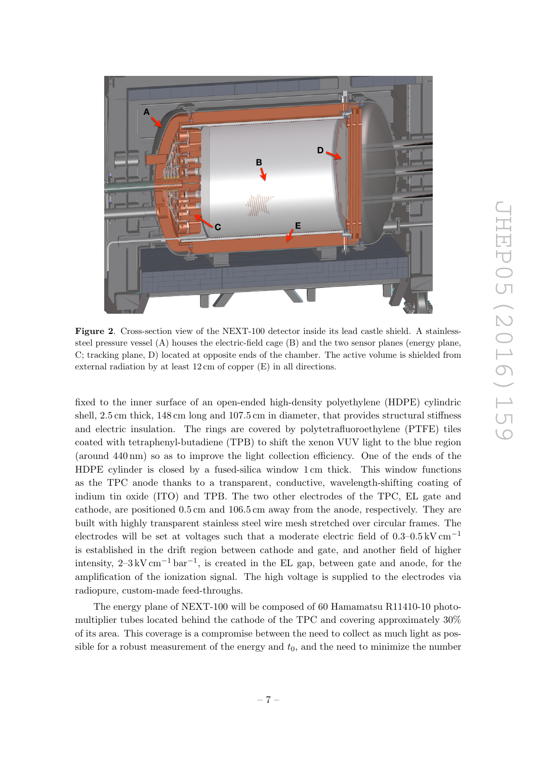

Figure 2. Cross-section view of the NEXT-100 detector inside its lead castle shield. A stainlesssteel pressure vessel (A) houses the electric-field cage (B) and the two sensor planes (energy plane, C; tracking plane, D) located at opposite ends of the chamber. The active volume is shielded from external radiation by at least 12 cm of copper (E) in all directions.

<span id="page-8-0"></span>fixed to the inner surface of an open-ended high-density polyethylene (HDPE) cylindric shell, 2.5 cm thick, 148 cm long and 107.5 cm in diameter, that provides structural stiffness and electric insulation. The rings are covered by polytetrafluoroethylene (PTFE) tiles coated with tetraphenyl-butadiene (TPB) to shift the xenon VUV light to the blue region (around 440 nm) so as to improve the light collection efficiency. One of the ends of the HDPE cylinder is closed by a fused-silica window 1 cm thick. This window functions as the TPC anode thanks to a transparent, conductive, wavelength-shifting coating of indium tin oxide (ITO) and TPB. The two other electrodes of the TPC, EL gate and cathode, are positioned 0.5 cm and 106.5 cm away from the anode, respectively. They are built with highly transparent stainless steel wire mesh stretched over circular frames. The electrodes will be set at voltages such that a moderate electric field of  $0.3-0.5 \,\mathrm{kV \, cm^{-1}}$ is established in the drift region between cathode and gate, and another field of higher intensity,  $2-3$  kV cm<sup>-1</sup> bar<sup>-1</sup>, is created in the EL gap, between gate and anode, for the amplification of the ionization signal. The high voltage is supplied to the electrodes via radiopure, custom-made feed-throughs.

The energy plane of NEXT-100 will be composed of 60 Hamamatsu R11410-10 photomultiplier tubes located behind the cathode of the TPC and covering approximately 30% of its area. This coverage is a compromise between the need to collect as much light as possible for a robust measurement of the energy and  $t_0$ , and the need to minimize the number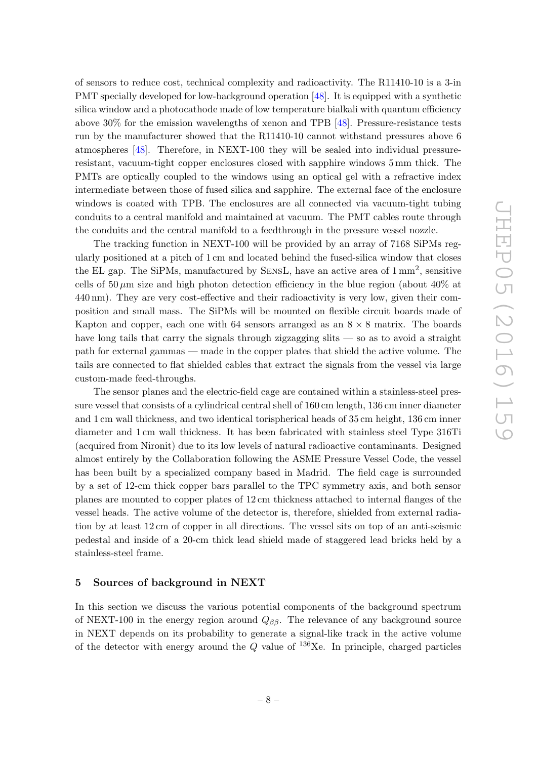of sensors to reduce cost, technical complexity and radioactivity. The R11410-10 is a 3-in PMT specially developed for low-background operation [\[48\]](#page-28-6). It is equipped with a synthetic silica window and a photocathode made of low temperature bialkali with quantum efficiency above 30% for the emission wavelengths of xenon and TPB [\[48\]](#page-28-6). Pressure-resistance tests run by the manufacturer showed that the R11410-10 cannot withstand pressures above 6 atmospheres [\[48\]](#page-28-6). Therefore, in NEXT-100 they will be sealed into individual pressureresistant, vacuum-tight copper enclosures closed with sapphire windows 5 mm thick. The PMTs are optically coupled to the windows using an optical gel with a refractive index intermediate between those of fused silica and sapphire. The external face of the enclosure windows is coated with TPB. The enclosures are all connected via vacuum-tight tubing conduits to a central manifold and maintained at vacuum. The PMT cables route through the conduits and the central manifold to a feedthrough in the pressure vessel nozzle.

The tracking function in NEXT-100 will be provided by an array of 7168 SiPMs regularly positioned at a pitch of 1 cm and located behind the fused-silica window that closes the EL gap. The SiPMs, manufactured by SENSL, have an active area of  $1 \text{ mm}^2$ , sensitive cells of 50  $\mu$ m size and high photon detection efficiency in the blue region (about 40% at 440 nm). They are very cost-effective and their radioactivity is very low, given their composition and small mass. The SiPMs will be mounted on flexible circuit boards made of Kapton and copper, each one with 64 sensors arranged as an  $8 \times 8$  matrix. The boards have long tails that carry the signals through zigzagging slits — so as to avoid a straight path for external gammas — made in the copper plates that shield the active volume. The tails are connected to flat shielded cables that extract the signals from the vessel via large custom-made feed-throughs.

The sensor planes and the electric-field cage are contained within a stainless-steel pressure vessel that consists of a cylindrical central shell of 160 cm length, 136 cm inner diameter and 1 cm wall thickness, and two identical torispherical heads of 35 cm height, 136 cm inner diameter and 1 cm wall thickness. It has been fabricated with stainless steel Type 316Ti (acquired from Nironit) due to its low levels of natural radioactive contaminants. Designed almost entirely by the Collaboration following the ASME Pressure Vessel Code, the vessel has been built by a specialized company based in Madrid. The field cage is surrounded by a set of 12-cm thick copper bars parallel to the TPC symmetry axis, and both sensor planes are mounted to copper plates of 12 cm thickness attached to internal flanges of the vessel heads. The active volume of the detector is, therefore, shielded from external radiation by at least 12 cm of copper in all directions. The vessel sits on top of an anti-seismic pedestal and inside of a 20-cm thick lead shield made of staggered lead bricks held by a stainless-steel frame.

### <span id="page-9-0"></span>5 Sources of background in NEXT

In this section we discuss the various potential components of the background spectrum of NEXT-100 in the energy region around  $Q_{\beta\beta}$ . The relevance of any background source in NEXT depends on its probability to generate a signal-like track in the active volume of the detector with energy around the  $Q$  value of <sup>136</sup>Xe. In principle, charged particles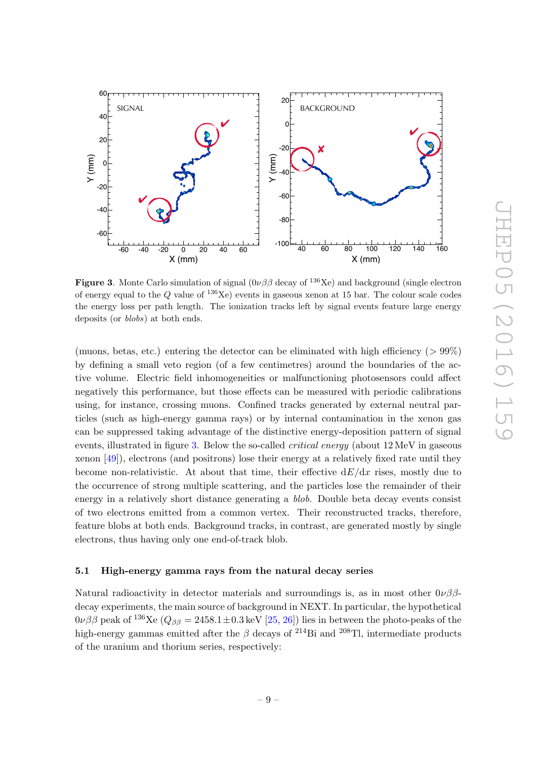

<span id="page-10-1"></span>**Figure 3.** Monte Carlo simulation of signal  $(0\nu\beta\beta$  decay of <sup>136</sup>Xe) and background (single electron of energy equal to the Q value of  $^{136}Xe$ ) events in gaseous xenon at 15 bar. The colour scale codes the energy loss per path length. The ionization tracks left by signal events feature large energy deposits (or blobs) at both ends.

(muons, betas, etc.) entering the detector can be eliminated with high efficiency ( $> 99\%$ ) by defining a small veto region (of a few centimetres) around the boundaries of the active volume. Electric field inhomogeneities or malfunctioning photosensors could affect negatively this performance, but those effects can be measured with periodic calibrations using, for instance, crossing muons. Confined tracks generated by external neutral particles (such as high-energy gamma rays) or by internal contamination in the xenon gas can be suppressed taking advantage of the distinctive energy-deposition pattern of signal events, illustrated in figure [3.](#page-10-1) Below the so-called *critical energy* (about  $12 \text{ MeV}$  in gaseous xenon [\[49\]](#page-28-7)), electrons (and positrons) lose their energy at a relatively fixed rate until they become non-relativistic. At about that time, their effective  $dE/dx$  rises, mostly due to the occurrence of strong multiple scattering, and the particles lose the remainder of their energy in a relatively short distance generating a *blob*. Double beta decay events consist of two electrons emitted from a common vertex. Their reconstructed tracks, therefore, feature blobs at both ends. Background tracks, in contrast, are generated mostly by single electrons, thus having only one end-of-track blob.

#### <span id="page-10-0"></span>5.1 High-energy gamma rays from the natural decay series

Natural radioactivity in detector materials and surroundings is, as in most other  $0\nu\beta\beta$ decay experiments, the main source of background in NEXT. In particular, the hypothetical  $0\nu\beta\beta$  peak of <sup>136</sup>Xe ( $Q_{\beta\beta} = 2458.1 \pm 0.3$  keV [\[25,](#page-27-10) [26\]](#page-27-11)) lies in between the photo-peaks of the high-energy gammas emitted after the  $\beta$  decays of <sup>214</sup>Bi and <sup>208</sup>Tl, intermediate products of the uranium and thorium series, respectively: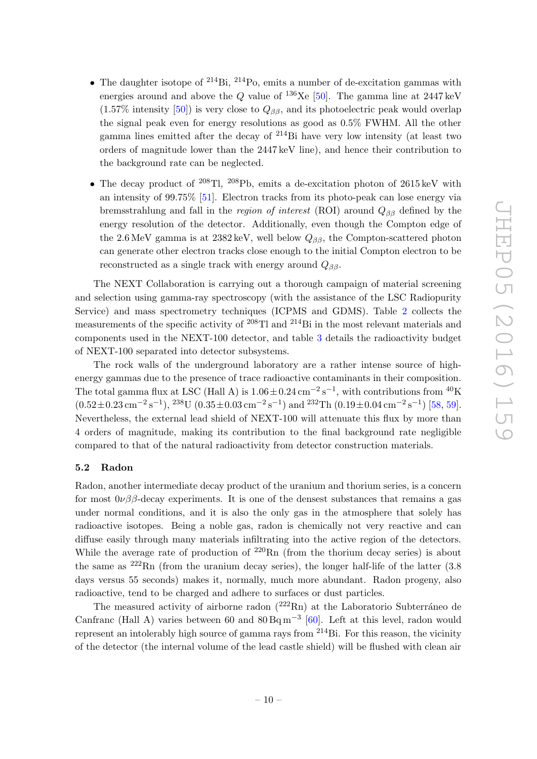- The daughter isotope of  $^{214}$ Bi,  $^{214}$ Po, emits a number of de-excitation gammas with energies around and above the Q value of  $^{136}\text{Xe}$  [\[50\]](#page-28-8). The gamma line at 2447 keV  $(1.57\%$  intensity [\[50\]](#page-28-8)) is very close to  $Q_{\beta\beta}$ , and its photoelectric peak would overlap the signal peak even for energy resolutions as good as 0.5% FWHM. All the other gamma lines emitted after the decay of  $^{214}$ Bi have very low intensity (at least two orders of magnitude lower than the 2447 keV line), and hence their contribution to the background rate can be neglected.
- The decay product of <sup>208</sup>Tl, <sup>208</sup>Pb, emits a de-excitation photon of 2615 keV with an intensity of 99.75% [\[51\]](#page-28-9). Electron tracks from its photo-peak can lose energy via bremsstrahlung and fall in the region of interest (ROI) around  $Q_{\beta\beta}$  defined by the energy resolution of the detector. Additionally, even though the Compton edge of the 2.6 MeV gamma is at 2382 keV, well below  $Q_{\beta\beta}$ , the Compton-scattered photon can generate other electron tracks close enough to the initial Compton electron to be reconstructed as a single track with energy around  $Q_{\beta\beta}$ .

The NEXT Collaboration is carrying out a thorough campaign of material screening and selection using gamma-ray spectroscopy (with the assistance of the LSC Radiopurity Service) and mass spectrometry techniques (ICPMS and GDMS). Table [2](#page-12-0) collects the measurements of the specific activity of <sup>208</sup>Tl and <sup>214</sup>Bi in the most relevant materials and components used in the NEXT-100 detector, and table [3](#page-13-1) details the radioactivity budget of NEXT-100 separated into detector subsystems.

The rock walls of the underground laboratory are a rather intense source of highenergy gammas due to the presence of trace radioactive contaminants in their composition. The total gamma flux at LSC (Hall A) is  $1.06 \pm 0.24$  cm<sup>-2</sup> s<sup>-1</sup>, with contributions from <sup>40</sup>K  $(0.52 \pm 0.23 \text{ cm}^{-2} \text{ s}^{-1}),$   $^{238}$ U  $(0.35 \pm 0.03 \text{ cm}^{-2} \text{ s}^{-1})$  and  $^{232}$ Th  $(0.19 \pm 0.04 \text{ cm}^{-2} \text{ s}^{-1})$  [\[58,](#page-28-10) [59\]](#page-28-11). Nevertheless, the external lead shield of NEXT-100 will attenuate this flux by more than 4 orders of magnitude, making its contribution to the final background rate negligible compared to that of the natural radioactivity from detector construction materials.

## <span id="page-11-0"></span>5.2 Radon

Radon, another intermediate decay product of the uranium and thorium series, is a concern for most  $0\nu\beta\beta$ -decay experiments. It is one of the densest substances that remains a gas under normal conditions, and it is also the only gas in the atmosphere that solely has radioactive isotopes. Being a noble gas, radon is chemically not very reactive and can diffuse easily through many materials infiltrating into the active region of the detectors. While the average rate of production of  $^{220}\text{Rn}$  (from the thorium decay series) is about the same as  $^{222}$ Rn (from the uranium decay series), the longer half-life of the latter (3.8) days versus 55 seconds) makes it, normally, much more abundant. Radon progeny, also radioactive, tend to be charged and adhere to surfaces or dust particles.

The measured activity of airborne radon  $(^{222}$ Rn) at the Laboratorio Subterráneo de Canfranc (Hall A) varies between 60 and  $80 \text{ Bq m}^{-3}$  [\[60\]](#page-28-12). Left at this level, radon would represent an intolerably high source of gamma rays from  $2^{14}$ Bi. For this reason, the vicinity of the detector (the internal volume of the lead castle shield) will be flushed with clean air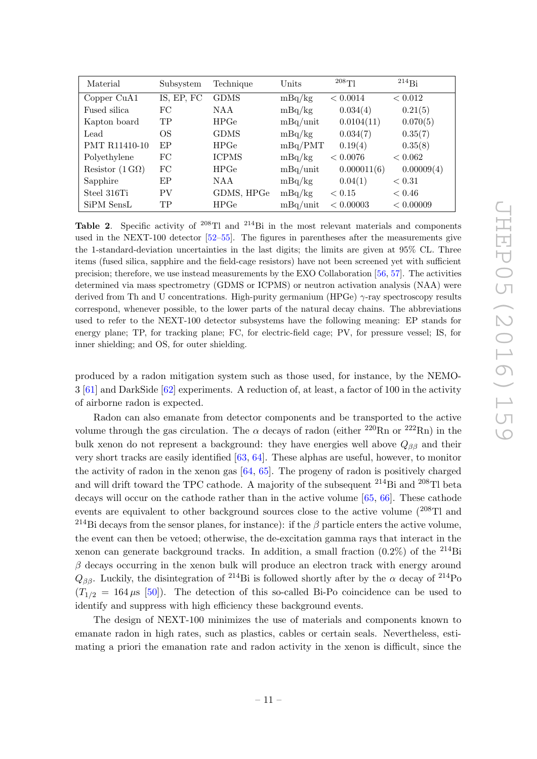| Material                       | Subsystem  | Technique    | Units    | 208T1       | $^{214}$ Bi |
|--------------------------------|------------|--------------|----------|-------------|-------------|
| Copper CuA1                    | IS, EP, FC | <b>GDMS</b>  | mBq/kg   | < 0.0014    | < 0.012     |
| Fused silica                   | FC         | <b>NAA</b>   | mBq/kg   | 0.034(4)    | 0.21(5)     |
| Kapton board                   | TP         | <b>HPGe</b>  | mBq/unit | 0.0104(11)  | 0.070(5)    |
| Lead                           | <b>OS</b>  | <b>GDMS</b>  | mBq/kg   | 0.034(7)    | 0.35(7)     |
| <b>PMT R11410-10</b>           | EP         | <b>HPGe</b>  | mBq/PMT  | 0.19(4)     | 0.35(8)     |
| Polyethylene                   | FC         | <b>ICPMS</b> | mBq/kg   | < 0.0076    | < 0.062     |
| Resistor $(1 \text{ G}\Omega)$ | FC         | <b>HPGe</b>  | mBq/unit | 0.000011(6) | 0.00009(4)  |
| Sapphire                       | EP         | <b>NAA</b>   | mBq/kg   | 0.04(1)     | < 0.31      |
| Steel 316Ti                    | PV         | GDMS, HPGe   | mBq/kg   | < 0.15      | < 0.46      |
| SiPM SensL                     | TP         | <b>HPGe</b>  | mBq/unit | < 0.00003   | < 0.00009   |

<span id="page-12-0"></span>Table 2. Specific activity of <sup>208</sup>Tl and <sup>214</sup>Bi in the most relevant materials and components used in the NEXT-100 detector [\[52](#page-28-13)[–55\]](#page-28-14). The figures in parentheses after the measurements give the 1-standard-deviation uncertainties in the last digits; the limits are given at 95% CL. Three items (fused silica, sapphire and the field-cage resistors) have not been screened yet with sufficient precision; therefore, we use instead measurements by the EXO Collaboration [\[56,](#page-28-15) [57\]](#page-28-16). The activities determined via mass spectrometry (GDMS or ICPMS) or neutron activation analysis (NAA) were derived from Th and U concentrations. High-purity germanium (HPGe)  $\gamma$ -ray spectroscopy results correspond, whenever possible, to the lower parts of the natural decay chains. The abbreviations used to refer to the NEXT-100 detector subsystems have the following meaning: EP stands for energy plane; TP, for tracking plane; FC, for electric-field cage; PV, for pressure vessel; IS, for inner shielding; and OS, for outer shielding.

produced by a radon mitigation system such as those used, for instance, by the NEMO-3 [\[61\]](#page-29-0) and DarkSide [\[62\]](#page-29-1) experiments. A reduction of, at least, a factor of 100 in the activity of airborne radon is expected.

Radon can also emanate from detector components and be transported to the active volume through the gas circulation. The  $\alpha$  decays of radon (either <sup>220</sup>Rn or <sup>222</sup>Rn) in the bulk xenon do not represent a background: they have energies well above  $Q_{\beta\beta}$  and their very short tracks are easily identified [\[63,](#page-29-2) [64\]](#page-29-3). These alphas are useful, however, to monitor the activity of radon in the xenon gas [\[64,](#page-29-3) [65\]](#page-29-4). The progeny of radon is positively charged and will drift toward the TPC cathode. A majority of the subsequent <sup>214</sup>Bi and <sup>208</sup>Tl beta decays will occur on the cathode rather than in the active volume [\[65,](#page-29-4) [66\]](#page-29-5). These cathode events are equivalent to other background sources close to the active volume (<sup>208</sup>Tl and <sup>214</sup>Bi decays from the sensor planes, for instance): if the  $\beta$  particle enters the active volume, the event can then be vetoed; otherwise, the de-excitation gamma rays that interact in the xenon can generate background tracks. In addition, a small fraction  $(0.2\%)$  of the <sup>214</sup>Bi  $\beta$  decays occurring in the xenon bulk will produce an electron track with energy around  $Q_{\beta\beta}$ . Luckily, the disintegration of <sup>214</sup>Bi is followed shortly after by the  $\alpha$  decay of <sup>214</sup>Po  $(T_{1/2} = 164 \,\mu s$  [\[50\]](#page-28-8)). The detection of this so-called Bi-Po coincidence can be used to identify and suppress with high efficiency these background events.

The design of NEXT-100 minimizes the use of materials and components known to emanate radon in high rates, such as plastics, cables or certain seals. Nevertheless, estimating a priori the emanation rate and radon activity in the xenon is difficult, since the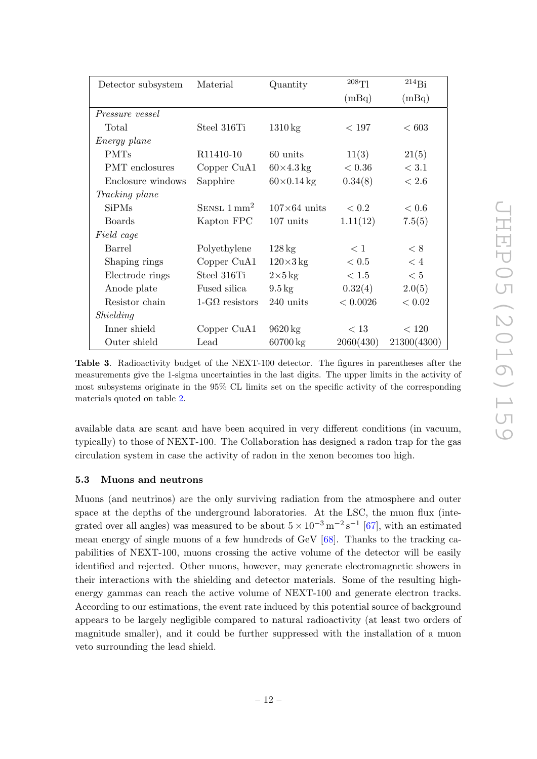| $\bm{0}$ |                             |  |
|----------|-----------------------------|--|
|          | $\mathbf{r}$ the<br>vity of |  |
|          | onding                      |  |
|          |                             |  |
|          | cuum,                       |  |

| Detector subsystem     | Material                     | Quantity                  | $208$ Tl   | $^{214}Bi$      |
|------------------------|------------------------------|---------------------------|------------|-----------------|
|                        |                              |                           | (mBq)      | (mBq)           |
| <i>Pressure vessel</i> |                              |                           |            |                 |
| Total                  | Steel 316Ti                  | $1310\,\mathrm{kg}$       | < 197      | <603            |
| <i>Energy plane</i>    |                              |                           |            |                 |
| <b>PMTs</b>            | R <sub>11410-10</sub>        | 60 units                  | 11(3)      | 21(5)           |
| <b>PMT</b> enclosures  | Copper CuA1                  | $60\times4.3$ kg          | ${}< 0.36$ | < 3.1           |
| Enclosure windows      | Sapphire                     | $60\times0.14$ kg         | 0.34(8)    | ${}_{\leq 2.6}$ |
| <i>Tracking plane</i>  |                              |                           |            |                 |
| <b>SiPMs</b>           | $S$ ENSL $1 \text{ mm}^2$    | $107\times64$ units       | ${}< 0.2$  | < 0.6           |
| <b>Boards</b>          | Kapton FPC                   | $107 \text{ units}$       | 1.11(12)   | 7.5(5)          |
| Field cage             |                              |                           |            |                 |
| Barrel                 | Polyethylene                 | $128 \text{ kg}$          | < 1        | $\langle 8$     |
| Shaping rings          | Copper CuA1                  | $120\times3\,\mathrm{kg}$ | < 0.5      | $\lt 4$         |
| Electrode rings        | Steel 316Ti                  | $2\times5$ kg             | < 1.5      | < 5             |
| Anode plate            | Fused silica                 | $9.5 \text{ kg}$          | 0.32(4)    | 2.0(5)          |
| Resistor chain         | $1-\text{G}\Omega$ resistors | 240 units                 | < 0.0026   | < 0.02          |
| Shielding              |                              |                           |            |                 |
| Inner shield           | Copper CuA1                  | 9620 kg                   | < 13       | < 120           |
| Outer shield           | Lead                         | $60700 \text{ kg}$        | 2060(430)  | 21300(4300)     |
|                        |                              |                           |            |                 |

<span id="page-13-1"></span>Table 3. Radioactivity budget of the NEXT-100 detector. The figures in parentheses after the  $\frac{1}{2}$ measurements give the 1-sigma uncertainties in the last digits. The upper limits in the activity of most subsystems originate in the  $95\%$  CL limits set on the specific activity of the corresponding materials quoted on table [2.](#page-12-0)

available data are scant and have been acquired in very different conditions (in vacuum, typically) to those of NEXT-100. The Collaboration has designed a radon trap for the gas circulation system in case the activity of radon in the xenon becomes too high.

# <span id="page-13-0"></span>5.3 Muons and neutrons

Muons (and neutrinos) are the only surviving radiation from the atmosphere and outer space at the depths of the underground laboratories. At the LSC, the muon flux (integrated over all angles) was measured to be about  $5 \times 10^{-3} \,\mathrm{m}^{-2} \,\mathrm{s}^{-1}$  [\[67\]](#page-29-6), with an estimated mean energy of single muons of a few hundreds of GeV [\[68\]](#page-29-7). Thanks to the tracking capabilities of NEXT-100, muons crossing the active volume of the detector will be easily identified and rejected. Other muons, however, may generate electromagnetic showers in their interactions with the shielding and detector materials. Some of the resulting highenergy gammas can reach the active volume of NEXT-100 and generate electron tracks. According to our estimations, the event rate induced by this potential source of background appears to be largely negligible compared to natural radioactivity (at least two orders of magnitude smaller), and it could be further suppressed with the installation of a muon veto surrounding the lead shield.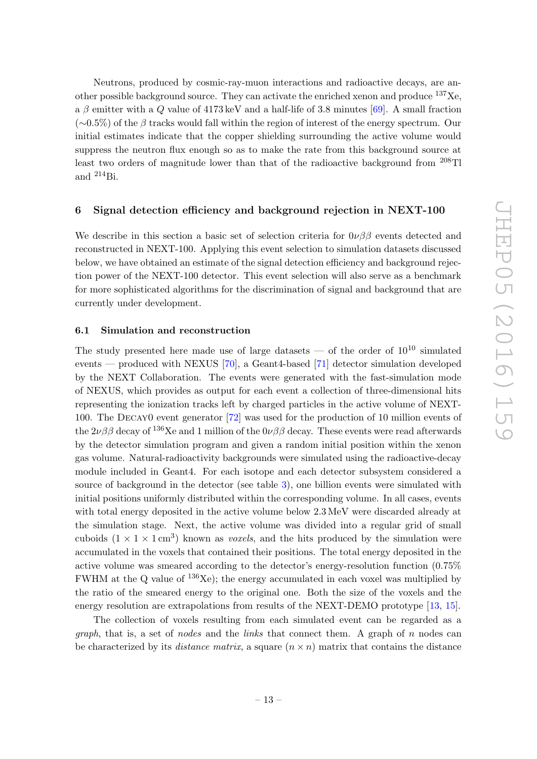Neutrons, produced by cosmic-ray-muon interactions and radioactive decays, are another possible background source. They can activate the enriched xenon and produce  $137Xe$ , a β emitter with a Q value of 4173 keV and a half-life of 3.8 minutes [\[69\]](#page-29-8). A small fraction  $(\sim 0.5\%)$  of the β tracks would fall within the region of interest of the energy spectrum. Our initial estimates indicate that the copper shielding surrounding the active volume would suppress the neutron flux enough so as to make the rate from this background source at least two orders of magnitude lower than that of the radioactive background from <sup>208</sup>Tl and <sup>214</sup>Bi.

#### <span id="page-14-0"></span>6 Signal detection efficiency and background rejection in NEXT-100

We describe in this section a basic set of selection criteria for  $0\nu\beta\beta$  events detected and reconstructed in NEXT-100. Applying this event selection to simulation datasets discussed below, we have obtained an estimate of the signal detection efficiency and background rejection power of the NEXT-100 detector. This event selection will also serve as a benchmark for more sophisticated algorithms for the discrimination of signal and background that are currently under development.

#### <span id="page-14-1"></span>6.1 Simulation and reconstruction

The study presented here made use of large datasets — of the order of  $10^{10}$  simulated events — produced with NEXUS [\[70\]](#page-29-9), a Geant4-based [\[71\]](#page-29-10) detector simulation developed by the NEXT Collaboration. The events were generated with the fast-simulation mode of NEXUS, which provides as output for each event a collection of three-dimensional hits representing the ionization tracks left by charged particles in the active volume of NEXT-100. The Decay0 event generator [\[72\]](#page-29-11) was used for the production of 10 million events of the  $2\nu\beta\beta$  decay of  $^{136}$ Xe and 1 million of the  $0\nu\beta\beta$  decay. These events were read afterwards by the detector simulation program and given a random initial position within the xenon gas volume. Natural-radioactivity backgrounds were simulated using the radioactive-decay module included in Geant4. For each isotope and each detector subsystem considered a source of background in the detector (see table [3\)](#page-13-1), one billion events were simulated with initial positions uniformly distributed within the corresponding volume. In all cases, events with total energy deposited in the active volume below 2.3 MeV were discarded already at the simulation stage. Next, the active volume was divided into a regular grid of small cuboids  $(1 \times 1 \times 1 \text{ cm}^3)$  known as voxels, and the hits produced by the simulation were accumulated in the voxels that contained their positions. The total energy deposited in the active volume was smeared according to the detector's energy-resolution function (0.75% FWHM at the Q value of  $^{136}Xe$ ; the energy accumulated in each voxel was multiplied by the ratio of the smeared energy to the original one. Both the size of the voxels and the energy resolution are extrapolations from results of the NEXT-DEMO prototype [\[13,](#page-26-6) [15\]](#page-26-8).

The collection of voxels resulting from each simulated event can be regarded as a graph, that is, a set of nodes and the links that connect them. A graph of n nodes can be characterized by its *distance matrix*, a square  $(n \times n)$  matrix that contains the distance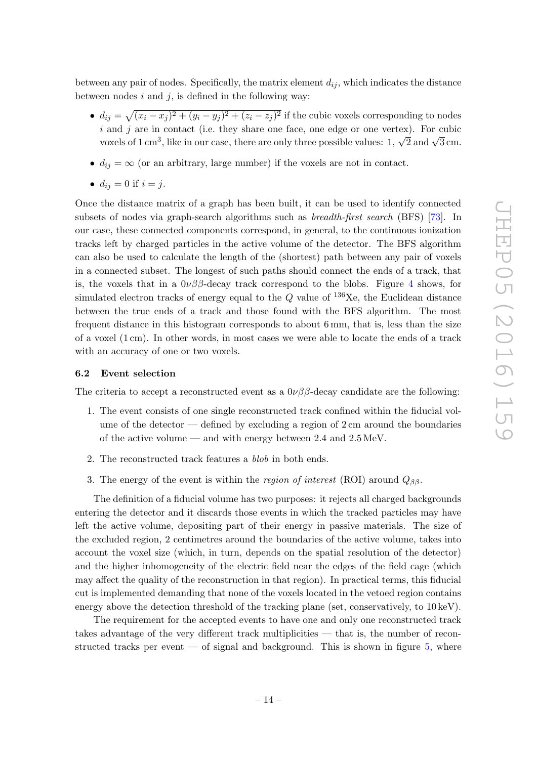between any pair of nodes. Specifically, the matrix element  $d_{ij}$ , which indicates the distance between nodes  $i$  and  $j$ , is defined in the following way:

- $d_{ij} = \sqrt{(x_i x_j)^2 + (y_i y_j)^2 + (z_i z_j)^2}$  if the cubic voxels corresponding to nodes  $i$  and  $j$  are in contact (i.e. they share one face, one edge or one vertex). For cubic voxels of 1 cm<sup>3</sup>, like in our case, there are only three possible values:  $1, \sqrt{2}$  and  $\sqrt{3}$  cm.
- $d_{ij} = \infty$  (or an arbitrary, large number) if the voxels are not in contact.
- $d_{ij} = 0$  if  $i = j$ .

Once the distance matrix of a graph has been built, it can be used to identify connected subsets of nodes via graph-search algorithms such as breadth-first search (BFS) [\[73\]](#page-29-12). In our case, these connected components correspond, in general, to the continuous ionization tracks left by charged particles in the active volume of the detector. The BFS algorithm can also be used to calculate the length of the (shortest) path between any pair of voxels in a connected subset. The longest of such paths should connect the ends of a track, that is, the voxels that in a  $0\nu\beta\beta$ -decay track correspond to the blobs. Figure [4](#page-16-0) shows, for simulated electron tracks of energy equal to the  $Q$  value of  $^{136}Xe$ , the Euclidean distance between the true ends of a track and those found with the BFS algorithm. The most frequent distance in this histogram corresponds to about 6 mm, that is, less than the size of a voxel (1 cm). In other words, in most cases we were able to locate the ends of a track with an accuracy of one or two voxels.

#### <span id="page-15-0"></span>6.2 Event selection

The criteria to accept a reconstructed event as a  $0\nu\beta\beta$ -decay candidate are the following:

- 1. The event consists of one single reconstructed track confined within the fiducial volume of the detector — defined by excluding a region of 2 cm around the boundaries of the active volume — and with energy between  $2.4$  and  $2.5 \,\text{MeV}$ .
- 2. The reconstructed track features a blob in both ends.
- 3. The energy of the event is within the *region of interest* (ROI) around  $Q_{\beta\beta}$ .

The definition of a fiducial volume has two purposes: it rejects all charged backgrounds entering the detector and it discards those events in which the tracked particles may have left the active volume, depositing part of their energy in passive materials. The size of the excluded region, 2 centimetres around the boundaries of the active volume, takes into account the voxel size (which, in turn, depends on the spatial resolution of the detector) and the higher inhomogeneity of the electric field near the edges of the field cage (which may affect the quality of the reconstruction in that region). In practical terms, this fiducial cut is implemented demanding that none of the voxels located in the vetoed region contains energy above the detection threshold of the tracking plane (set, conservatively, to 10 keV).

The requirement for the accepted events to have one and only one reconstructed track takes advantage of the very different track multiplicities — that is, the number of reconstructed tracks per event  $-$  of signal and background. This is shown in figure [5,](#page-17-0) where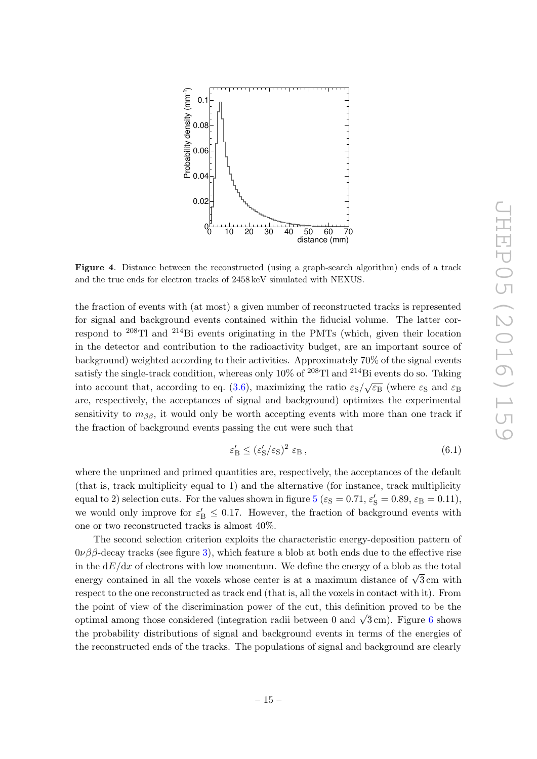

<span id="page-16-0"></span>Figure 4. Distance between the reconstructed (using a graph-search algorithm) ends of a track and the true ends for electron tracks of 2458 keV simulated with NEXUS.

the fraction of events with (at most) a given number of reconstructed tracks is represented for signal and background events contained within the fiducial volume. The latter correspond to <sup>208</sup>Tl and <sup>214</sup>Bi events originating in the PMTs (which, given their location in the detector and contribution to the radioactivity budget, are an important source of background) weighted according to their activities. Approximately 70% of the signal events satisfy the single-track condition, whereas only  $10\%$  of  $^{208}$ Tl and  $^{214}$ Bi events do so. Taking into account that, according to eq. [\(3.6\)](#page-6-2), maximizing the ratio  $\varepsilon_{\rm S}/\sqrt{\varepsilon_{\rm B}}$  (where  $\varepsilon_{\rm S}$  and  $\varepsilon_{\rm B}$ are, respectively, the acceptances of signal and background) optimizes the experimental sensitivity to  $m_{\beta\beta}$ , it would only be worth accepting events with more than one track if the fraction of background events passing the cut were such that

$$
\varepsilon'_{\rm B} \le (\varepsilon'_{\rm S}/\varepsilon_{\rm S})^2 \varepsilon_{\rm B},\tag{6.1}
$$

where the unprimed and primed quantities are, respectively, the acceptances of the default (that is, track multiplicity equal to 1) and the alternative (for instance, track multiplicity equal to 2) selection cuts. For the values shown in figure  $5 (\varepsilon_S = 0.71, \varepsilon_S' = 0.89, \varepsilon_B = 0.11)$  $5 (\varepsilon_S = 0.71, \varepsilon_S' = 0.89, \varepsilon_B = 0.11)$ , we would only improve for  $\varepsilon'_{\text{B}} \leq 0.17$ . However, the fraction of background events with one or two reconstructed tracks is almost 40%.

The second selection criterion exploits the characteristic energy-deposition pattern of  $0\nu\beta\beta$ -decay tracks (see figure [3\)](#page-10-1), which feature a blob at both ends due to the effective rise in the  $dE/dx$  of electrons with low momentum. We define the energy of a blob as the total energy contained in all the voxels whose center is at a maximum distance of  $\sqrt{3}$  cm with respect to the one reconstructed as track end (that is, all the voxels in contact with it). From the point of view of the discrimination power of the cut, this definition proved to be the optimal among those considered (integration radii between 0 and  $\sqrt{3}$  cm). Figure [6](#page-18-0) shows the probability distributions of signal and background events in terms of the energies of the reconstructed ends of the tracks. The populations of signal and background are clearly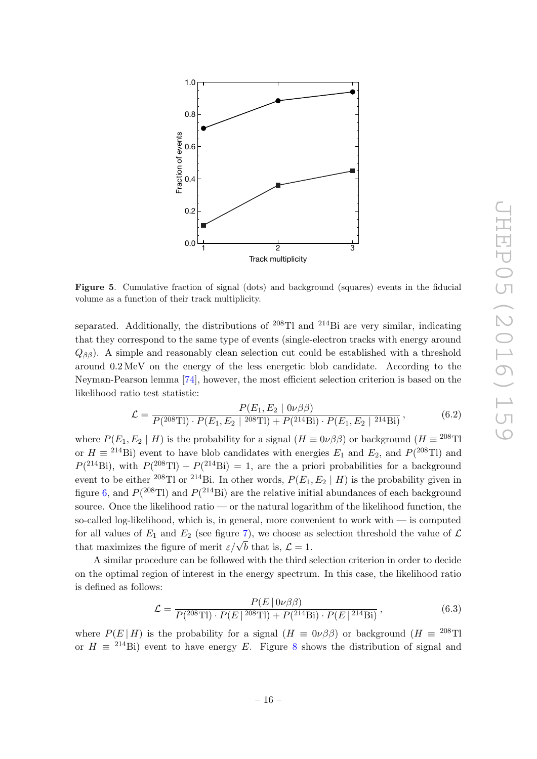

<span id="page-17-0"></span>Figure 5. Cumulative fraction of signal (dots) and background (squares) events in the fiducial volume as a function of their track multiplicity.

separated. Additionally, the distributions of  $^{208}$ Tl and  $^{214}$ Bi are very similar, indicating that they correspond to the same type of events (single-electron tracks with energy around  $Q_{\beta\beta}$ ). A simple and reasonably clean selection cut could be established with a threshold around 0.2 MeV on the energy of the less energetic blob candidate. According to the Neyman-Pearson lemma [\[74\]](#page-29-13), however, the most efficient selection criterion is based on the likelihood ratio test statistic:

$$
\mathcal{L} = \frac{P(E_1, E_2 \mid 0\nu\beta\beta)}{P(^{208}\text{TI}) \cdot P(E_1, E_2 \mid {}^{208}\text{TI}) + P(^{214}\text{Bi}) \cdot P(E_1, E_2 \mid {}^{214}\text{Bi})},\tag{6.2}
$$

where  $P(E_1, E_2 | H)$  is the probability for a signal  $(H \equiv 0\nu\beta\beta)$  or background  $(H \equiv 208 \text{ T})$ or  $H \equiv {}^{214}\text{Bi}$ ) event to have blob candidates with energies  $E_1$  and  $E_2$ , and  $P({}^{208}\text{Ti})$  and  $P(^{214}Bi)$ , with  $P(^{208}Ti) + P(^{214}Bi) = 1$ , are the a priori probabilities for a background event to be either <sup>208</sup>Tl or <sup>214</sup>Bi. In other words,  $P(E_1, E_2 | H)$  is the probability given in figure [6,](#page-18-0) and  $P(^{208}\text{Ti})$  and  $P(^{214}\text{Bi})$  are the relative initial abundances of each background source. Once the likelihood ratio — or the natural logarithm of the likelihood function, the so-called log-likelihood, which is, in general, more convenient to work with  $-$  is computed for all values of  $E_1$  and  $E_2$  (see figure [7\)](#page-19-0), we choose as selection threshold the value of  $\mathcal L$ that maximizes the figure of merit  $\varepsilon/\sqrt{b}$  that is,  $\mathcal{L} = 1$ .

A similar procedure can be followed with the third selection criterion in order to decide on the optimal region of interest in the energy spectrum. In this case, the likelihood ratio is defined as follows:

$$
\mathcal{L} = \frac{P(E \mid 0\nu\beta\beta)}{P(^{208}\text{TI}) \cdot P(E \mid ^{208}\text{TI}) + P(^{214}\text{Bi}) \cdot P(E \mid ^{214}\text{Bi})},\tag{6.3}
$$

where  $P(E|H)$  is the probability for a signal  $(H = 0\nu\beta\beta)$  or background  $(H = 208$ Tl or  $H \equiv {}^{214}\text{Bi}$ ) event to have energy E. Figure [8](#page-19-1) shows the distribution of signal and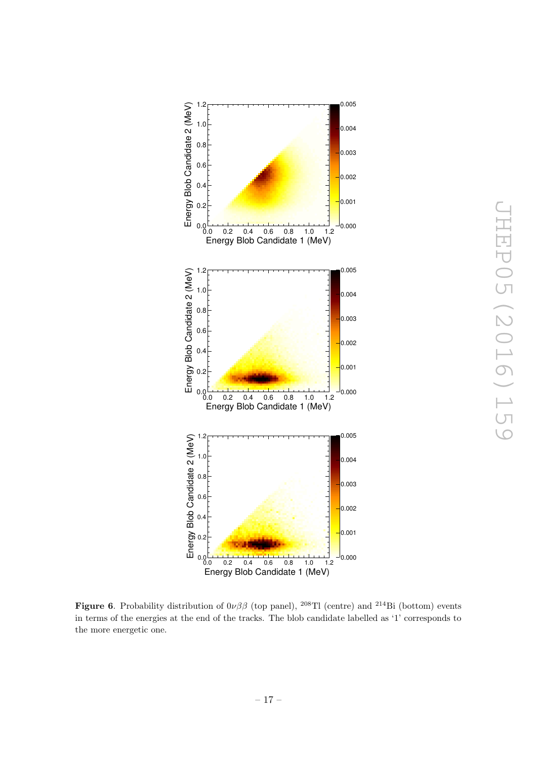

<span id="page-18-0"></span>**Figure 6.** Probability distribution of  $0\nu\beta\beta$  (top panel), <sup>208</sup>Tl (centre) and <sup>214</sup>Bi (bottom) events in terms of the energies at the end of the tracks. The blob candidate labelled as '1' corresponds to the more energetic one.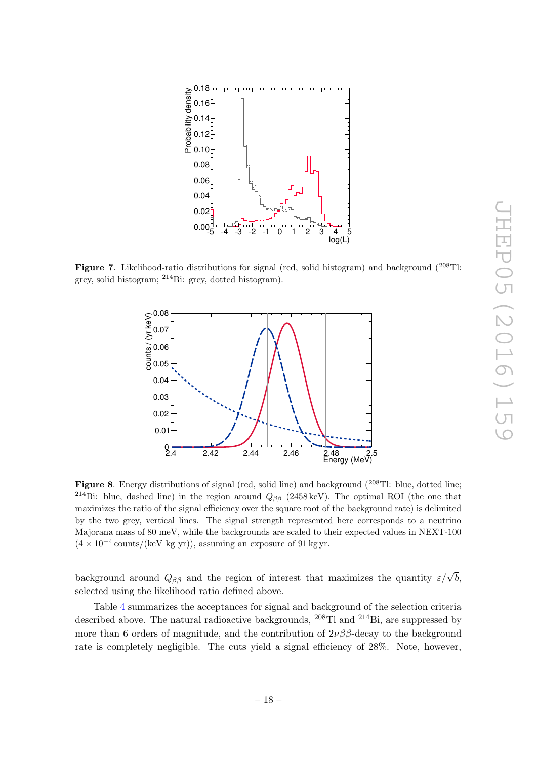

<span id="page-19-0"></span>**Figure 7.** Likelihood-ratio distributions for signal (red, solid histogram) and background  $(^{208}Tl$ : grey, solid histogram; <sup>214</sup>Bi: grey, dotted histogram).



<span id="page-19-1"></span>**Figure 8.** Energy distributions of signal (red, solid line) and background  $(^{208}Tl:$  blue, dotted line; <sup>214</sup>Bi: blue, dashed line) in the region around  $Q_{\beta\beta}$  (2458 keV). The optimal ROI (the one that maximizes the ratio of the signal efficiency over the square root of the background rate) is delimited by the two grey, vertical lines. The signal strength represented here corresponds to a neutrino Majorana mass of 80 meV, while the backgrounds are scaled to their expected values in NEXT-100  $(4 \times 10^{-4} \text{ counts/(keV kg yr)})$ , assuming an exposure of 91 kg yr.

background around  $Q_{\beta\beta}$  and the region of interest that maximizes the quantity  $\varepsilon/\sqrt{b}$ , selected using the likelihood ratio defined above.

Table [4](#page-20-1) summarizes the acceptances for signal and background of the selection criteria described above. The natural radioactive backgrounds,  $^{208}$ Tl and  $^{214}$ Bi, are suppressed by more than 6 orders of magnitude, and the contribution of  $2\nu\beta\beta$ -decay to the background rate is completely negligible. The cuts yield a signal efficiency of 28%. Note, however,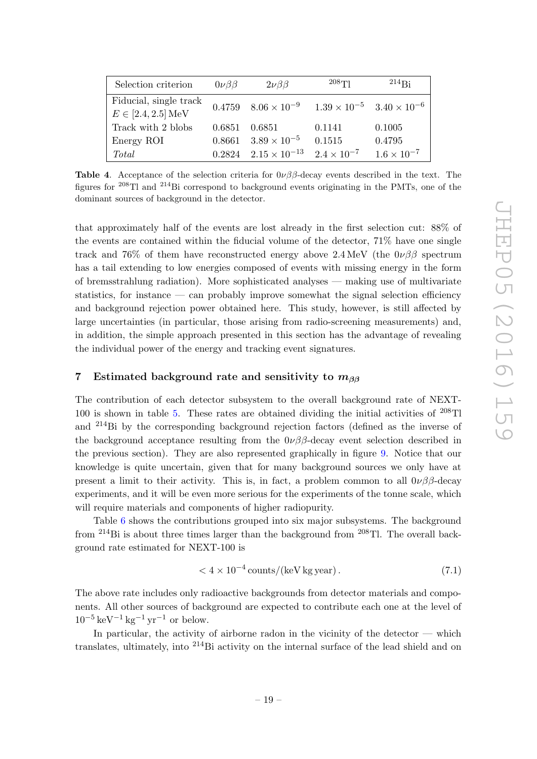| Selection criterion                                       | $0\nu\beta\beta$ | $2\nu\beta\beta$                | 208T1                                       | $214R_i$             |
|-----------------------------------------------------------|------------------|---------------------------------|---------------------------------------------|----------------------|
| Fiducial, single track<br>$E \in [2.4, 2.5] \,\text{MeV}$ |                  | $0.4759$ $8.06 \times 10^{-9}$  | $1.39 \times 10^{-5}$ $3.40 \times 10^{-6}$ |                      |
| Track with 2 blobs                                        | 0.6851           | 0.6851                          | 0.1141                                      | 0.1005               |
| Energy ROI                                                | 0.8661           | $3.89 \times 10^{-5}$           | 0.1515                                      | 0.4795               |
| <b>Total</b>                                              |                  | $0.2824$ $2.15 \times 10^{-13}$ | $2.4 \times 10^{-7}$                        | $1.6 \times 10^{-7}$ |

<span id="page-20-1"></span>Table 4. Acceptance of the selection criteria for  $0\nu\beta\beta$ -decay events described in the text. The figures for <sup>208</sup>Tl and <sup>214</sup>Bi correspond to background events originating in the PMTs, one of the dominant sources of background in the detector.

that approximately half of the events are lost already in the first selection cut: 88% of the events are contained within the fiducial volume of the detector, 71% have one single track and 76% of them have reconstructed energy above 2.4 MeV (the  $0\nu\beta\beta$  spectrum has a tail extending to low energies composed of events with missing energy in the form of bremsstrahlung radiation). More sophisticated analyses — making use of multivariate statistics, for instance — can probably improve somewhat the signal selection efficiency and background rejection power obtained here. This study, however, is still affected by large uncertainties (in particular, those arising from radio-screening measurements) and, in addition, the simple approach presented in this section has the advantage of revealing the individual power of the energy and tracking event signatures.

## <span id="page-20-0"></span>7 Estimated background rate and sensitivity to  $m_{\beta\beta}$

The contribution of each detector subsystem to the overall background rate of NEXT-100 is shown in table [5.](#page-21-0) These rates are obtained dividing the initial activities of  $^{208}$ Tl and <sup>214</sup>Bi by the corresponding background rejection factors (defined as the inverse of the background acceptance resulting from the  $0\nu\beta\beta$ -decay event selection described in the previous section). They are also represented graphically in figure [9.](#page-22-0) Notice that our knowledge is quite uncertain, given that for many background sources we only have at present a limit to their activity. This is, in fact, a problem common to all  $0\nu\beta\beta$ -decay experiments, and it will be even more serious for the experiments of the tonne scale, which will require materials and components of higher radiopurity.

Table [6](#page-21-1) shows the contributions grouped into six major subsystems. The background from  $^{214}$ Bi is about three times larger than the background from  $^{208}$ Tl. The overall background rate estimated for NEXT-100 is

$$
\langle 4 \times 10^{-4} \text{counts/(keV kg year)} \, . \tag{7.1}
$$

The above rate includes only radioactive backgrounds from detector materials and components. All other sources of background are expected to contribute each one at the level of  $10^{-5} \text{ keV}^{-1} \text{ kg}^{-1} \text{ yr}^{-1}$  or below.

In particular, the activity of airborne radon in the vicinity of the detector  $-$  which translates, ultimately, into <sup>214</sup>Bi activity on the internal surface of the lead shield and on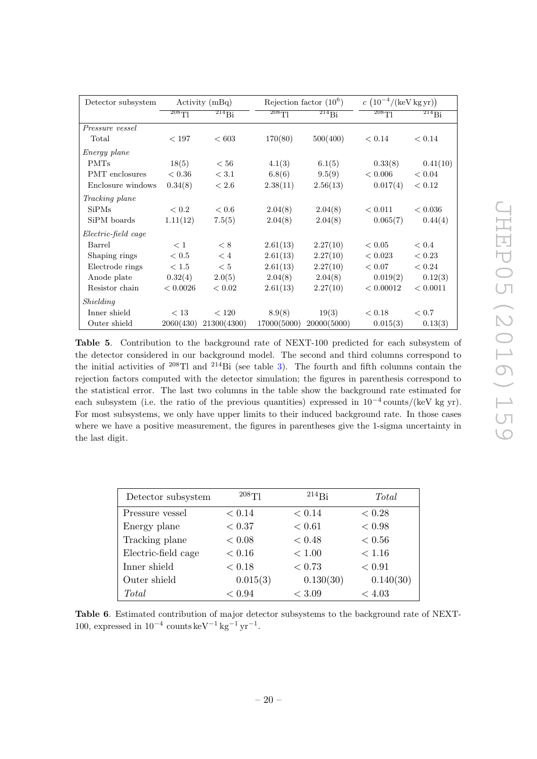| Detector subsystem    |                      | Rejection factor $(10^6)$<br>Activity(mBq) |                      |             | $c(10^{-4}/(\text{keV} \text{ kg} \text{ yr}))$ |                              |
|-----------------------|----------------------|--------------------------------------------|----------------------|-------------|-------------------------------------------------|------------------------------|
|                       | $208$ <sup>T</sup> I | 214Bi                                      | $208$ <sup>T</sup> I | $^{214}Bi$  | $208$ <sup>T</sup> I                            | $\overline{^{214}\text{Bi}}$ |
| Pressure vessel       |                      |                                            |                      |             |                                                 |                              |
| Total                 | < 197                | < 603                                      | 170(80)              | 500(400)    | < 0.14                                          | < 0.14                       |
| Energy plane          |                      |                                            |                      |             |                                                 |                              |
| <b>PMTs</b>           | 18(5)                | < 56                                       | 4.1(3)               | 6.1(5)      | 0.33(8)                                         | 0.41(10)                     |
| <b>PMT</b> enclosures | ${}_{< 0.36}$        | < 3.1                                      | 6.8(6)               | 9.5(9)      | < 0.006                                         | < 0.04                       |
| Enclosure windows     | 0.34(8)              | < 2.6                                      | 2.38(11)             | 2.56(13)    | 0.017(4)                                        | < 0.12                       |
| <i>Tracking plane</i> |                      |                                            |                      |             |                                                 |                              |
| <b>SiPMs</b>          | < 0.2                | < 0.6                                      | 2.04(8)              | 2.04(8)     | < 0.011                                         | < 0.036                      |
| SiPM boards           | 1.11(12)             | 7.5(5)                                     | 2.04(8)              | 2.04(8)     | 0.065(7)                                        | 0.44(4)                      |
| Electric-field cage   |                      |                                            |                      |             |                                                 |                              |
| Barrel                | < 1                  | < 8                                        | 2.61(13)             | 2.27(10)    | < 0.05                                          | < 0.4                        |
| Shaping rings         | < 0.5                | < 4                                        | 2.61(13)             | 2.27(10)    | < 0.023                                         | < 0.23                       |
| Electrode rings       | < 1.5                | < 5                                        | 2.61(13)             | 2.27(10)    | ${}< 0.07$                                      | < 0.24                       |
| Anode plate           | 0.32(4)              | 2.0(5)                                     | 2.04(8)              | 2.04(8)     | 0.019(2)                                        | 0.12(3)                      |
| Resistor chain        | < 0.0026             | < 0.02                                     | 2.61(13)             | 2.27(10)    | < 0.00012                                       | < 0.0011                     |
| Shielding             |                      |                                            |                      |             |                                                 |                              |
| Inner shield          | < 13                 | < 120                                      | 8.9(8)               | 19(3)       | < 0.18                                          | < 0.7                        |
| Outer shield          | 2060(430)            | 21300(4300)                                | 17000(5000)          | 20000(5000) | 0.015(3)                                        | 0.13(3)                      |

<span id="page-21-0"></span>Table 5. Contribution to the background rate of NEXT-100 predicted for each subsystem of the detector considered in our background model. The second and third columns correspond to the initial activities of  $208$ Tl and  $214$ Bi (see table [3\)](#page-13-1). The fourth and fifth columns contain the rejection factors computed with the detector simulation; the figures in parenthesis correspond to the statistical error. The last two columns in the table show the background rate estimated for each subsystem (i.e. the ratio of the previous quantities) expressed in  $10^{-4}$  counts/(keV kg yr). For most subsystems, we only have upper limits to their induced background rate. In those cases where we have a positive measurement, the figures in parentheses give the 1-sigma uncertainty in the last digit.

| Detector subsystem  | $208$ T  | $^{214}$ Bi | <b>Total</b> |
|---------------------|----------|-------------|--------------|
| Pressure vessel     | < 0.14   | < 0.14      | < 0.28       |
| Energy plane        | < 0.37   | < 0.61      | < 0.98       |
| Tracking plane      | < 0.08   | < 0.48      | ${}< 0.56$   |
| Electric-field cage | < 0.16   | < 1.00      | < 1.16       |
| Inner shield        | < 0.18   | < 0.73      | < 0.91       |
| Outer shield        | 0.015(3) | 0.130(30)   | 0.140(30)    |
| Total               | < 0.94   | < 3.09      | < 4.03       |

<span id="page-21-1"></span>Table 6. Estimated contribution of major detector subsystems to the background rate of NEXT-100, expressed in  $10^{-4}$  counts keV<sup>-1</sup> kg<sup>-1</sup> yr<sup>-1</sup>.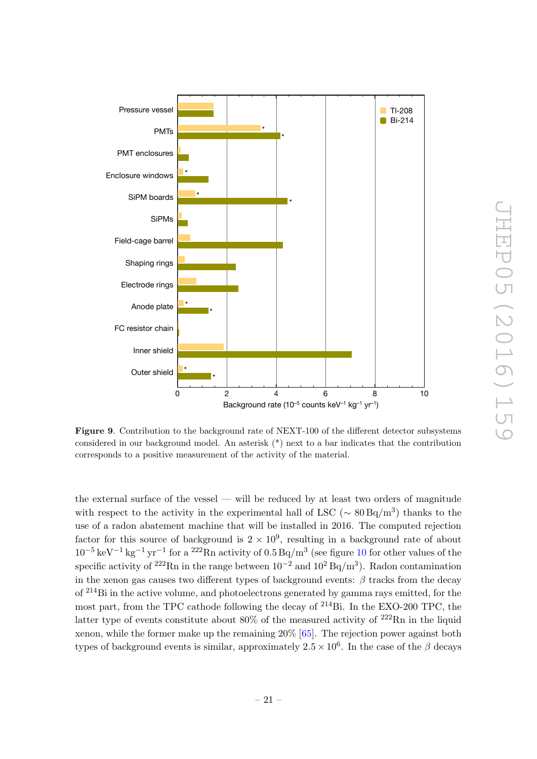

<span id="page-22-0"></span>Figure 9. Contribution to the background rate of NEXT-100 of the different detector subsystems considered in our background model. An asterisk  $(*)$  next to a bar indicates that the contribution corresponds to a positive measurement of the activity of the material.

the external surface of the vessel — will be reduced by at least two orders of magnitude with respect to the activity in the experimental hall of LSC ( $\sim 80 \,\text{Bg}/\text{m}^3$ ) thanks to the use of a radon abatement machine that will be installed in 2016. The computed rejection factor for this source of background is  $2 \times 10^9$ , resulting in a background rate of about  $10^{-5}$  $10^{-5}$  keV<sup>-1</sup> kg<sup>-1</sup> yr<sup>-1</sup> for a <sup>222</sup>Rn activity of  $0.5$  Bq/m<sup>3</sup> (see figure 10 for other values of the specific activity of <sup>222</sup>Rn in the range between  $10^{-2}$  and  $10^{2}$  Bq/m<sup>3</sup>). Radon contamination in the xenon gas causes two different types of background events:  $\beta$  tracks from the decay of <sup>214</sup>Bi in the active volume, and photoelectrons generated by gamma rays emitted, for the most part, from the TPC cathode following the decay of  $^{214}$ Bi. In the EXO-200 TPC, the latter type of events constitute about  $80\%$  of the measured activity of  $222$ Rn in the liquid xenon, while the former make up the remaining 20% [\[65\]](#page-29-4). The rejection power against both types of background events is similar, approximately  $2.5 \times 10^6$ . In the case of the  $\beta$  decays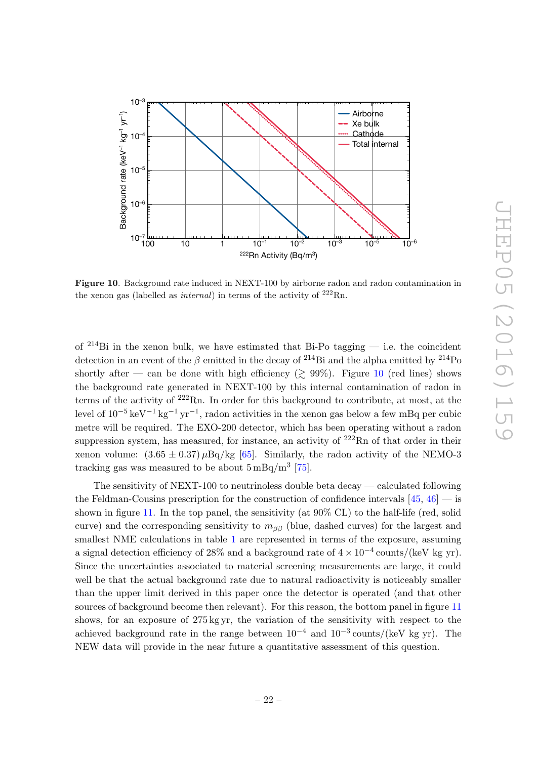

<span id="page-23-0"></span>Figure 10. Background rate induced in NEXT-100 by airborne radon and radon contamination in the xenon gas (labelled as *internal*) in terms of the activity of  $222 \text{Rn}$ .

of  $^{214}$ Bi in the xenon bulk, we have estimated that Bi-Po tagging — i.e. the coincident detection in an event of the  $\beta$  emitted in the decay of <sup>214</sup>Bi and the alpha emitted by <sup>214</sup>Po shortly after — can be done with high efficiency ( $\geq 99\%$ ). Figure [10](#page-23-0) (red lines) shows the background rate generated in NEXT-100 by this internal contamination of radon in terms of the activity of  $222$ Rn. In order for this background to contribute, at most, at the level of 10<sup>-5</sup> keV<sup>-1</sup> kg<sup>-1</sup> yr<sup>-1</sup>, radon activities in the xenon gas below a few mBq per cubic metre will be required. The EXO-200 detector, which has been operating without a radon suppression system, has measured, for instance, an activity of  $222 \text{Rn}$  of that order in their xenon volume:  $(3.65 \pm 0.37) \mu\text{Bq/kg}$  [\[65\]](#page-29-4). Similarly, the radon activity of the NEMO-3 tracking gas was measured to be about  $5 \text{ mBq/m}^3$  [\[75\]](#page-29-14).

The sensitivity of NEXT-100 to neutrinoless double beta decay — calculated following the Feldman-Cousins prescription for the construction of confidence intervals  $[45, 46]$  $[45, 46]$  $[45, 46]$  — is shown in figure [11.](#page-24-1) In the top panel, the sensitivity (at 90% CL) to the half-life (red, solid curve) and the corresponding sensitivity to  $m_{\beta\beta}$  (blue, dashed curves) for the largest and smallest NME calculations in table [1](#page-5-0) are represented in terms of the exposure, assuming a signal detection efficiency of 28% and a background rate of  $4 \times 10^{-4}$  counts/(keV kg yr). Since the uncertainties associated to material screening measurements are large, it could well be that the actual background rate due to natural radioactivity is noticeably smaller than the upper limit derived in this paper once the detector is operated (and that other sources of background become then relevant). For this reason, the bottom panel in figure [11](#page-24-1) shows, for an exposure of 275 kg yr, the variation of the sensitivity with respect to the achieved background rate in the range between  $10^{-4}$  and  $10^{-3}$  counts/(keV kg yr). The NEW data will provide in the near future a quantitative assessment of this question.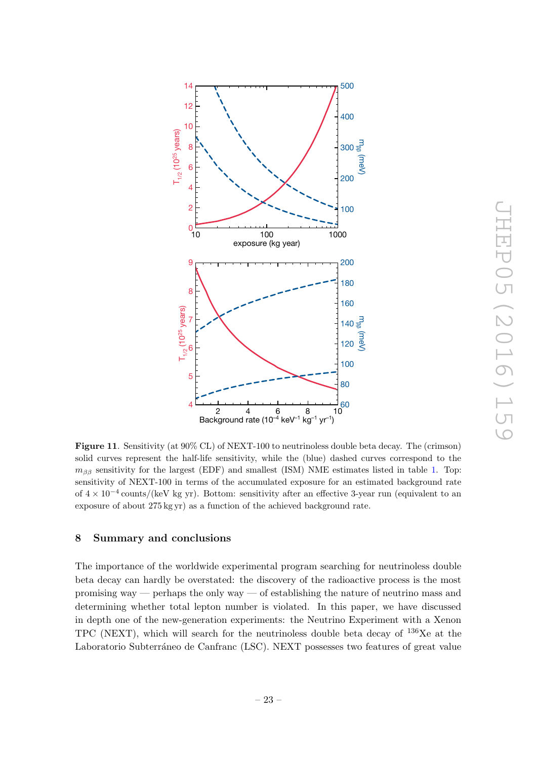

<span id="page-24-1"></span>Figure 11. Sensitivity (at 90% CL) of NEXT-100 to neutrinoless double beta decay. The (crimson) solid curves represent the half-life sensitivity, while the (blue) dashed curves correspond to the  $m_{\beta\beta}$  sensitivity for the largest (EDF) and smallest (ISM) NME estimates listed in table [1.](#page-5-0) Top: sensitivity of NEXT-100 in terms of the accumulated exposure for an estimated background rate of  $4 \times 10^{-4}$  counts/(keV kg yr). Bottom: sensitivity after an effective 3-year run (equivalent to an exposure of about 275 kg yr) as a function of the achieved background rate.

## <span id="page-24-0"></span>8 Summary and conclusions

The importance of the worldwide experimental program searching for neutrinoless double beta decay can hardly be overstated: the discovery of the radioactive process is the most promising way — perhaps the only way — of establishing the nature of neutrino mass and determining whether total lepton number is violated. In this paper, we have discussed in depth one of the new-generation experiments: the Neutrino Experiment with a Xenon TPC (NEXT), which will search for the neutrinoless double beta decay of  $^{136}$ Xe at the Laboratorio Subterráneo de Canfranc (LSC). NEXT possesses two features of great value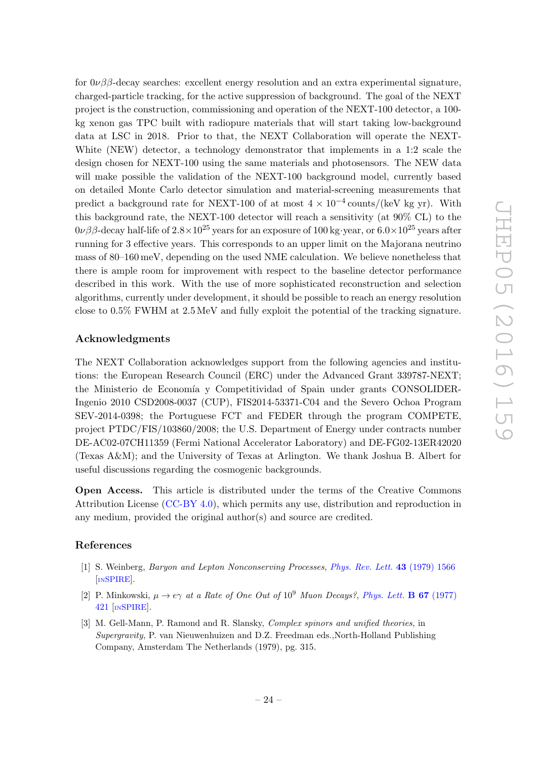for  $0\nu\beta\beta$ -decay searches: excellent energy resolution and an extra experimental signature, charged-particle tracking, for the active suppression of background. The goal of the NEXT project is the construction, commissioning and operation of the NEXT-100 detector, a 100 kg xenon gas TPC built with radiopure materials that will start taking low-background data at LSC in 2018. Prior to that, the NEXT Collaboration will operate the NEXT-White (NEW) detector, a technology demonstrator that implements in a 1:2 scale the design chosen for NEXT-100 using the same materials and photosensors. The NEW data will make possible the validation of the NEXT-100 background model, currently based on detailed Monte Carlo detector simulation and material-screening measurements that predict a background rate for NEXT-100 of at most  $4 \times 10^{-4}$  counts/(keV kg yr). With this background rate, the NEXT-100 detector will reach a sensitivity (at 90% CL) to the  $0\nu\beta\beta$ -decay half-life of  $2.8\times10^{25}$  years for an exposure of 100 kg·year, or  $6.0\times10^{25}$  years after running for 3 effective years. This corresponds to an upper limit on the Majorana neutrino mass of 80–160 meV, depending on the used NME calculation. We believe nonetheless that there is ample room for improvement with respect to the baseline detector performance described in this work. With the use of more sophisticated reconstruction and selection algorithms, currently under development, it should be possible to reach an energy resolution close to 0.5% FWHM at 2.5 MeV and fully exploit the potential of the tracking signature.

## Acknowledgments

The NEXT Collaboration acknowledges support from the following agencies and institutions: the European Research Council (ERC) under the Advanced Grant 339787-NEXT; the Ministerio de Economía y Competitividad of Spain under grants CONSOLIDER-Ingenio 2010 CSD2008-0037 (CUP), FIS2014-53371-C04 and the Severo Ochoa Program SEV-2014-0398; the Portuguese FCT and FEDER through the program COMPETE, project PTDC/FIS/103860/2008; the U.S. Department of Energy under contracts number DE-AC02-07CH11359 (Fermi National Accelerator Laboratory) and DE-FG02-13ER42020 (Texas A&M); and the University of Texas at Arlington. We thank Joshua B. Albert for useful discussions regarding the cosmogenic backgrounds.

Open Access. This article is distributed under the terms of the Creative Commons Attribution License [\(CC-BY 4.0\)](http://creativecommons.org/licenses/by/4.0/), which permits any use, distribution and reproduction in any medium, provided the original author(s) and source are credited.

## References

- <span id="page-25-0"></span>[1] S. Weinberg, *Baryon and Lepton Nonconserving Processes, [Phys. Rev. Lett.](http://dx.doi.org/10.1103/PhysRevLett.43.1566)* **43** (1979) 1566 [IN[SPIRE](http://inspirehep.net/search?p=find+J+%22Phys.Rev.Lett.,43,1566%22)].
- <span id="page-25-1"></span>[2] P. Minkowski,  $\mu \to e\gamma$  at a Rate of One Out of 10<sup>9</sup> Muon Decays?, [Phys. Lett.](http://dx.doi.org/10.1016/0370-2693(77)90435-X) **B 67** (1977) [421](http://dx.doi.org/10.1016/0370-2693(77)90435-X) [IN[SPIRE](http://inspirehep.net/search?p=find+J+%22Phys.Lett.,B67,421%22)].
- [3] M. Gell-Mann, P. Ramond and R. Slansky, Complex spinors and unified theories, in Supergravity, P. van Nieuwenhuizen and D.Z. Freedman eds.,North-Holland Publishing Company, Amsterdam The Netherlands (1979), pg. 315.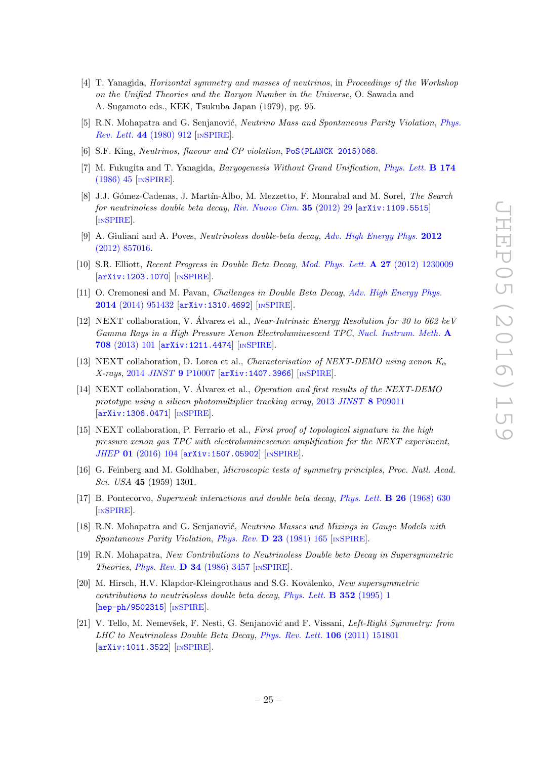- [4] T. Yanagida, Horizontal symmetry and masses of neutrinos, in Proceedings of the Workshop on the Unified Theories and the Baryon Number in the Universe, O. Sawada and A. Sugamoto eds., KEK, Tsukuba Japan (1979), pg. 95.
- <span id="page-26-0"></span>[5] R.N. Mohapatra and G. Senjanović, Neutrino Mass and Spontaneous Parity Violation, [Phys.](http://dx.doi.org/10.1103/PhysRevLett.44.912) Rev. Lett. 44 [\(1980\) 912](http://dx.doi.org/10.1103/PhysRevLett.44.912) [IN[SPIRE](http://inspirehep.net/search?p=find+J+%22Phys.Rev.Lett.,44,912%22)].
- <span id="page-26-1"></span>[6] S.F. King, Neutrinos, flavour and CP violation, [PoS\(PLANCK 2015\)068](http://pos.sissa.it/cgi-bin/reader/contribution.cgi?id=PoS(PLANCK 2015)068).
- <span id="page-26-2"></span>[7] M. Fukugita and T. Yanagida, Baryogenesis Without Grand Unification, [Phys. Lett.](http://dx.doi.org/10.1016/0370-2693(86)91126-3) B 174 [\(1986\) 45](http://dx.doi.org/10.1016/0370-2693(86)91126-3) [IN[SPIRE](http://inspirehep.net/search?p=find+J+%22Phys.Lett.,B174,45%22)].
- <span id="page-26-3"></span>[8] J.J. Gómez-Cadenas, J. Martín-Albo, M. Mezzetto, F. Monrabal and M. Sorel, The Search for neutrinoless double beta decay, [Riv. Nuovo Cim.](http://dx.doi.org/10.1393/ncr/i2012-10074-9) 35 (2012) 29 [[arXiv:1109.5515](http://arxiv.org/abs/1109.5515)] [IN[SPIRE](http://inspirehep.net/search?p=find+EPRINT+arXiv:1109.5515)].
- [9] A. Giuliani and A. Poves, Neutrinoless double-beta decay, [Adv. High Energy Phys.](http://dx.doi.org/10.1155/2012/857016) 2012 [\(2012\) 857016.](http://dx.doi.org/10.1155/2012/857016)
- [10] S.R. Elliott, Recent Progress in Double Beta Decay, [Mod. Phys. Lett.](http://dx.doi.org/10.1142/S0217732312300091) **A 27** (2012) 1230009 [[arXiv:1203.1070](http://arxiv.org/abs/1203.1070)] [IN[SPIRE](http://inspirehep.net/search?p=find+EPRINT+arXiv:1203.1070)].
- <span id="page-26-4"></span>[11] O. Cremonesi and M. Pavan, Challenges in Double Beta Decay, [Adv. High Energy Phys.](http://dx.doi.org/10.1155/2014/951432) 2014 [\(2014\) 951432](http://dx.doi.org/10.1155/2014/951432) [[arXiv:1310.4692](http://arxiv.org/abs/1310.4692)] [IN[SPIRE](http://inspirehep.net/search?p=find+EPRINT+arXiv:1310.4692)].
- <span id="page-26-5"></span>[12] NEXT collaboration, V. Álvarez et al., *Near-Intrinsic Energy Resolution for 30 to 662 keV* Gamma Rays in a High Pressure Xenon Electroluminescent TPC, [Nucl. Instrum. Meth.](http://dx.doi.org/10.1016/j.nima.2012.12.123) A 708 [\(2013\) 101](http://dx.doi.org/10.1016/j.nima.2012.12.123) [[arXiv:1211.4474](http://arxiv.org/abs/1211.4474)] [IN[SPIRE](http://inspirehep.net/search?p=find+EPRINT+arXiv:1211.4474)].
- <span id="page-26-6"></span>[13] NEXT collaboration, D. Lorca et al., *Characterisation of NEXT-DEMO using xenon*  $K_{\alpha}$ X-rays, 2014 JINST 9 [P10007](http://dx.doi.org/10.1088/1748-0221/9/10/P10007) [[arXiv:1407.3966](http://arxiv.org/abs/1407.3966)] [IN[SPIRE](http://inspirehep.net/search?p=find+EPRINT+arXiv:1407.3966)].
- <span id="page-26-7"></span>[14] NEXT collaboration, V. Álvarez et al., *Operation and first results of the NEXT-DEMO* prototype using a silicon photomultiplier tracking array, 2013 JINST 8 [P09011](http://dx.doi.org/10.1088/1748-0221/8/09/P09011) [[arXiv:1306.0471](http://arxiv.org/abs/1306.0471)] [IN[SPIRE](http://inspirehep.net/search?p=find+EPRINT+arXiv:1306.0471)].
- <span id="page-26-8"></span>[15] NEXT collaboration, P. Ferrario et al., *First proof of topological signature in the high* pressure xenon gas TPC with electroluminescence amplification for the NEXT experiment, JHEP 01 [\(2016\) 104](http://dx.doi.org/10.1007/JHEP01(2016)104) [[arXiv:1507.05902](http://arxiv.org/abs/1507.05902)] [IN[SPIRE](http://inspirehep.net/search?p=find+EPRINT+arXiv:1507.05902)].
- <span id="page-26-9"></span>[16] G. Feinberg and M. Goldhaber, Microscopic tests of symmetry principles, Proc. Natl. Acad. Sci. USA 45 (1959) 1301.
- [17] B. Pontecorvo, Superweak interactions and double beta decay, [Phys. Lett.](http://dx.doi.org/10.1016/0370-2693(68)90437-1) B 26 (1968) 630 [IN[SPIRE](http://inspirehep.net/search?p=find+J+%22Phys.Lett.,B26,630%22)].
- [18] R.N. Mohapatra and G. Senjanović, Neutrino Masses and Mixings in Gauge Models with Spontaneous Parity Violation, [Phys. Rev.](http://dx.doi.org/10.1103/PhysRevD.23.165) D 23 (1981) 165 [IN[SPIRE](http://inspirehep.net/search?p=find+J+%22Phys.Rev.,D23,165%22)].
- [19] R.N. Mohapatra, New Contributions to Neutrinoless Double beta Decay in Supersymmetric Theories, Phys. Rev.  $\bf{D}$  34 [\(1986\) 3457](http://dx.doi.org/10.1103/PhysRevD.34.3457) [IN[SPIRE](http://inspirehep.net/search?p=find+J+%22Phys.Rev.,D34,3457%22)].
- [20] M. Hirsch, H.V. Klapdor-Kleingrothaus and S.G. Kovalenko, New supersymmetric contributions to neutrinoless double beta decay,  $Phys. Lett. B 352 (1995) 1$  $Phys. Lett. B 352 (1995) 1$ [[hep-ph/9502315](http://arxiv.org/abs/hep-ph/9502315)] [IN[SPIRE](http://inspirehep.net/search?p=find+EPRINT+hep-ph/9502315)].
- <span id="page-26-10"></span>[21] V. Tello, M. Nemevšek, F. Nesti, G. Senjanović and F. Vissani, Left-Right Symmetry: from LHC to Neutrinoless Double Beta Decay, [Phys. Rev. Lett.](http://dx.doi.org/10.1103/PhysRevLett.106.151801) 106 (2011) 151801 [[arXiv:1011.3522](http://arxiv.org/abs/1011.3522)] [IN[SPIRE](http://inspirehep.net/search?p=find+EPRINT+arXiv:1011.3522)].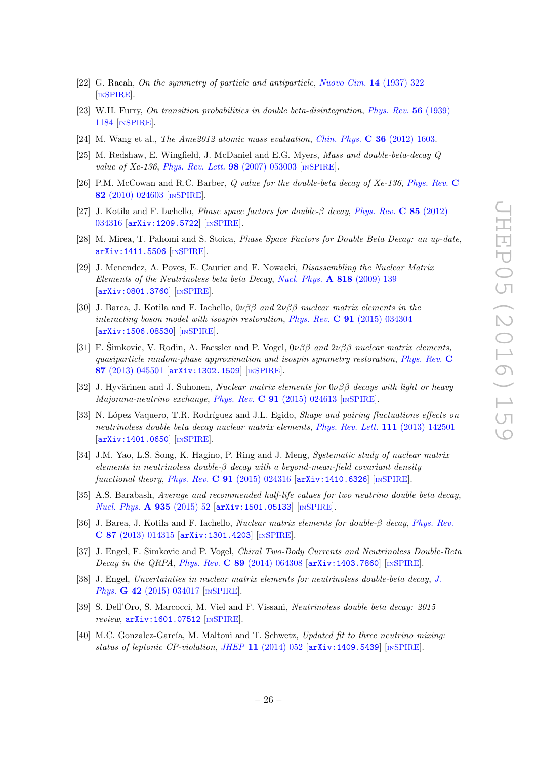- <span id="page-27-0"></span>[22] G. Racah, On the symmetry of particle and antiparticle, [Nuovo Cim.](http://dx.doi.org/10.1007/BF02961321) 14 (1937) 322 [IN[SPIRE](http://inspirehep.net/search?p=find+J+%22NuovoCim.,14,322%22)].
- <span id="page-27-1"></span>[23] W.H. Furry, On transition probabilities in double beta-disintegration, [Phys. Rev.](http://dx.doi.org/10.1103/PhysRev.56.1184) 56 (1939) [1184](http://dx.doi.org/10.1103/PhysRev.56.1184) [IN[SPIRE](http://inspirehep.net/search?p=find+J+%22Phys.Rev.,56,1184%22)].
- <span id="page-27-9"></span>[24] M. Wang et al., The Ame2012 atomic mass evaluation, Chin. Phys. C 36 [\(2012\) 1603.](http://dx.doi.org/10.1088/1674-1137/36/12/002)
- <span id="page-27-10"></span>[25] M. Redshaw, E. Wingfield, J. McDaniel and E.G. Myers, Mass and double-beta-decay Q value of Xe-136, [Phys. Rev. Lett.](http://dx.doi.org/10.1103/PhysRevLett.98.053003)  $98$  (2007) 053003 [IN[SPIRE](http://inspirehep.net/search?p=find+J+%22Phys.Rev.Lett.,98,053003%22)].
- <span id="page-27-11"></span>[26] P.M. McCowan and R.C. Barber, Q value for the double-beta decay of Xe-136, [Phys. Rev.](http://dx.doi.org/10.1103/PhysRevC.82.024603) C 82 [\(2010\) 024603](http://dx.doi.org/10.1103/PhysRevC.82.024603) [IN[SPIRE](http://inspirehep.net/search?p=find+J+%22Phys.Rev.,C82,024603%22)].
- <span id="page-27-2"></span>[27] J. Kotila and F. Iachello, *Phase space factors for double-β decay*, *[Phys. Rev.](http://dx.doi.org/10.1103/PhysRevC.85.034316)* **C 85** (2012) [034316](http://dx.doi.org/10.1103/PhysRevC.85.034316) [[arXiv:1209.5722](http://arxiv.org/abs/1209.5722)] [IN[SPIRE](http://inspirehep.net/search?p=find+EPRINT+arXiv:1209.5722)].
- <span id="page-27-3"></span>[28] M. Mirea, T. Pahomi and S. Stoica, Phase Space Factors for Double Beta Decay: an up-date, [arXiv:1411.5506](http://arxiv.org/abs/1411.5506) [IN[SPIRE](http://inspirehep.net/search?p=find+EPRINT+arXiv:1411.5506)].
- <span id="page-27-12"></span>[29] J. Menendez, A. Poves, E. Caurier and F. Nowacki, Disassembling the Nuclear Matrix Elements of the Neutrinoless beta beta Decay, [Nucl. Phys.](http://dx.doi.org/10.1016/j.nuclphysa.2008.12.005) A 818 (2009) 139 [[arXiv:0801.3760](http://arxiv.org/abs/0801.3760)] [IN[SPIRE](http://inspirehep.net/search?p=find+EPRINT+arXiv:0801.3760)].
- <span id="page-27-4"></span>[30] J. Barea, J. Kotila and F. Iachello,  $0\nu\beta\beta$  and  $2\nu\beta\beta$  nuclear matrix elements in the interacting boson model with isospin restoration, Phys. Rev. C 91 [\(2015\) 034304](http://dx.doi.org/10.1103/PhysRevC.91.034304) [[arXiv:1506.08530](http://arxiv.org/abs/1506.08530)] [IN[SPIRE](http://inspirehep.net/search?p=find+J+%22Phys.Rev.,C91,034304%22)].
- <span id="page-27-13"></span>[31] F. Šimkovic, V. Rodin, A. Faessler and P. Vogel,  $0\nu\beta\beta$  and  $2\nu\beta\beta$  nuclear matrix elements, quasiparticle random-phase approximation and isospin symmetry restoration, [Phys. Rev.](http://dx.doi.org/10.1103/PhysRevC.87.045501) C 87 [\(2013\) 045501](http://dx.doi.org/10.1103/PhysRevC.87.045501) [[arXiv:1302.1509](http://arxiv.org/abs/1302.1509)] [IN[SPIRE](http://inspirehep.net/search?p=find+EPRINT+arXiv:1302.1509)].
- <span id="page-27-14"></span>[32] J. Hyvärinen and J. Suhonen, *Nuclear matrix elements for*  $0\nu\beta\beta$  decays with light or heavy Majorana-neutrino exchange, Phys. Rev. C 91 [\(2015\) 024613](http://dx.doi.org/10.1103/PhysRevC.91.024613) [IN[SPIRE](http://inspirehep.net/search?p=find+J+%22Phys.Rev.,C91,024613%22)].
- <span id="page-27-15"></span>[33] N. López Vaquero, T.R. Rodríguez and J.L. Egido, *Shape and pairing fluctuations effects on* neutrinoless double beta decay nuclear matrix elements, [Phys. Rev. Lett.](http://dx.doi.org/10.1103/PhysRevLett.111.142501) 111 (2013) 142501 [[arXiv:1401.0650](http://arxiv.org/abs/1401.0650)] [IN[SPIRE](http://inspirehep.net/search?p=find+EPRINT+arXiv:1401.0650)].
- <span id="page-27-16"></span>[34] J.M. Yao, L.S. Song, K. Hagino, P. Ring and J. Meng, Systematic study of nuclear matrix elements in neutrinoless double- $\beta$  decay with a beyond-mean-field covariant density functional theory, Phys. Rev.  $C$  91 [\(2015\) 024316](http://dx.doi.org/10.1103/PhysRevC.91.024316)  $\left[$ [arXiv:1410.6326](http://arxiv.org/abs/1410.6326) $\right]$   $\left[$ In[SPIRE](http://inspirehep.net/search?p=find+EPRINT+arXiv:1410.6326) $\right]$ .
- <span id="page-27-5"></span>[35] A.S. Barabash, Average and recommended half-life values for two neutrino double beta decay, [Nucl. Phys.](http://dx.doi.org/10.1016/j.nuclphysa.2015.01.001) A 935 (2015) 52 [[arXiv:1501.05133](http://arxiv.org/abs/1501.05133)] [IN[SPIRE](http://inspirehep.net/search?p=find+EPRINT+arXiv:1501.05133)].
- <span id="page-27-6"></span>[36] J. Barea, J. Kotila and F. Iachello, Nuclear matrix elements for double-β decay, [Phys. Rev.](http://dx.doi.org/10.1103/PhysRevC.87.014315) C 87 [\(2013\) 014315](http://dx.doi.org/10.1103/PhysRevC.87.014315) [[arXiv:1301.4203](http://arxiv.org/abs/1301.4203)] [IN[SPIRE](http://inspirehep.net/search?p=find+EPRINT+arXiv:1301.4203)].
- [37] J. Engel, F. Simkovic and P. Vogel, *Chiral Two-Body Currents and Neutrinoless Double-Beta* Decay in the QRPA, Phys. Rev. C 89 [\(2014\) 064308](http://dx.doi.org/10.1103/PhysRevC.89.064308)  $arXiv:1403.7860$  [IN[SPIRE](http://inspirehep.net/search?p=find+EPRINT+arXiv:1403.7860)].
- [38] J. Engel, Uncertainties in nuclear matrix elements for neutrinoless double-beta decay, [J.](http://dx.doi.org/10.1088/0954-3899/42/3/034017) Phys. **G 42** [\(2015\) 034017](http://dx.doi.org/10.1088/0954-3899/42/3/034017) [IN[SPIRE](http://inspirehep.net/search?p=find+J+%22J.Phys.,G42,034017%22)].
- <span id="page-27-7"></span>[39] S. Dell'Oro, S. Marcocci, M. Viel and F. Vissani, Neutrinoless double beta decay: 2015 review, [arXiv:1601.07512](http://arxiv.org/abs/1601.07512) [IN[SPIRE](http://inspirehep.net/search?p=find+EPRINT+arXiv:1601.07512)].
- <span id="page-27-8"></span>[40] M.C. Gonzalez-García, M. Maltoni and T. Schwetz, Updated fit to three neutrino mixing: status of leptonic CP-violation, JHEP 11 [\(2014\) 052](http://dx.doi.org/10.1007/JHEP11(2014)052)  $\left[\text{arXiv:1409.5439}\right]$  $\left[\text{arXiv:1409.5439}\right]$  $\left[\text{arXiv:1409.5439}\right]$   $\left[\text{insPIRE}\right]$ .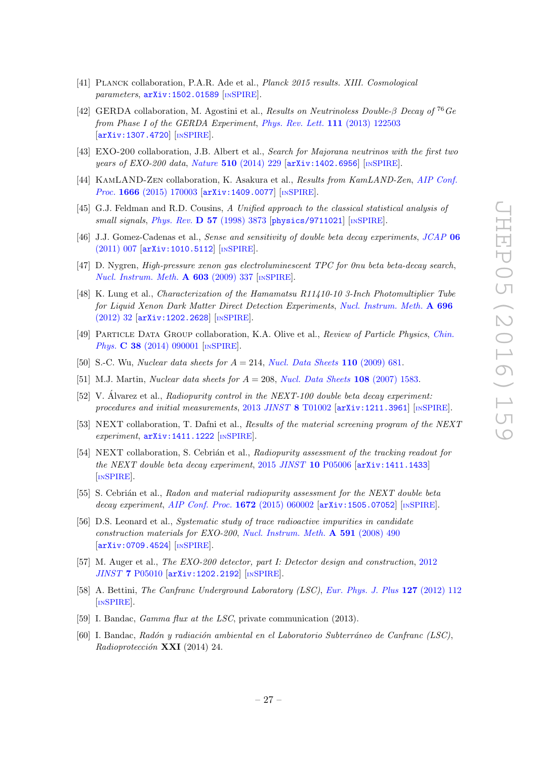- <span id="page-28-0"></span>[41] Planck collaboration, P.A.R. Ade et al., Planck 2015 results. XIII. Cosmological parameters,  $arXiv:1502.01589$  [IN[SPIRE](http://inspirehep.net/search?p=find+EPRINT+arXiv:1502.01589)].
- <span id="page-28-1"></span>[42] GERDA collaboration, M. Agostini et al., Results on Neutrinoless Double- $\beta$  Decay of <sup>76</sup>Ge from Phase I of the GERDA Experiment, [Phys. Rev. Lett.](http://dx.doi.org/10.1103/PhysRevLett.111.122503) 111 (2013) 122503 [[arXiv:1307.4720](http://arxiv.org/abs/1307.4720)] [IN[SPIRE](http://inspirehep.net/search?p=find+EPRINT+arXiv:1307.4720)].
- [43] EXO-200 collaboration, J.B. Albert et al., Search for Majorana neutrinos with the first two years of EXO-200 data, Nature 510 [\(2014\) 229](http://dx.doi.org/10.1038/nature13432) [[arXiv:1402.6956](http://arxiv.org/abs/1402.6956)] [IN[SPIRE](http://inspirehep.net/search?p=find+EPRINT+arXiv:1402.6956)].
- <span id="page-28-2"></span>[44] KamLAND-Zen collaboration, K. Asakura et al., Results from KamLAND-Zen, [AIP Conf.](http://dx.doi.org/10.1063/1.4915593) Proc. 1666 [\(2015\) 170003](http://dx.doi.org/10.1063/1.4915593) [arXiv: 1409.0077] [IN[SPIRE](http://inspirehep.net/search?p=find+EPRINT+arXiv:1409.0077)].
- <span id="page-28-3"></span>[45] G.J. Feldman and R.D. Cousins, A Unified approach to the classical statistical analysis of small signals, Phys. Rev. D 57 [\(1998\) 3873](http://dx.doi.org/10.1103/PhysRevD.57.3873) [[physics/9711021](http://arxiv.org/abs/physics/9711021)] [IN[SPIRE](http://inspirehep.net/search?p=find+EPRINT+physics/9711021)].
- <span id="page-28-4"></span>[46] J.J. Gomez-Cadenas et al., Sense and sensitivity of double beta decay experiments, [JCAP](http://dx.doi.org/10.1088/1475-7516/2011/06/007) 06 [\(2011\) 007](http://dx.doi.org/10.1088/1475-7516/2011/06/007) [[arXiv:1010.5112](http://arxiv.org/abs/1010.5112)] [IN[SPIRE](http://inspirehep.net/search?p=find+EPRINT+arXiv:1010.5112)].
- <span id="page-28-5"></span>[47] D. Nygren, High-pressure xenon gas electroluminescent TPC for 0nu beta beta-decay search, [Nucl. Instrum. Meth.](http://dx.doi.org/10.1016/j.nima.2009.01.222) **A 603** (2009) 337 [IN[SPIRE](http://inspirehep.net/search?p=find+J+%22Nucl.Instrum.Meth.,A603,337%22)].
- <span id="page-28-6"></span>[48] K. Lung et al., Characterization of the Hamamatsu R11410-10 3-Inch Photomultiplier Tube for Liquid Xenon Dark Matter Direct Detection Experiments, [Nucl. Instrum. Meth.](http://dx.doi.org/10.1016/j.nima.2012.08.052) A 696 [\(2012\) 32](http://dx.doi.org/10.1016/j.nima.2012.08.052) [[arXiv:1202.2628](http://arxiv.org/abs/1202.2628)] [IN[SPIRE](http://inspirehep.net/search?p=find+EPRINT+arXiv:1202.2628)].
- <span id="page-28-7"></span>[49] Particle Data Group collaboration, K.A. Olive et al., Review of Particle Physics, [Chin.](http://dx.doi.org/10.1088/1674-1137/38/9/090001) Phys. **C 38** [\(2014\) 090001](http://dx.doi.org/10.1088/1674-1137/38/9/090001) [IN[SPIRE](http://inspirehep.net/search?p=find+J+%22Chin.Phys.,C38,090001%22)].
- <span id="page-28-8"></span>[50] S.-C. Wu, *Nuclear data sheets for A* = 214, *[Nucl. Data Sheets](http://dx.doi.org/10.1016/j.nds.2009.02.002)* **110** (2009) 681.
- <span id="page-28-9"></span>[51] M.J. Martin, Nuclear data sheets for  $A = 208$ , [Nucl. Data Sheets](http://dx.doi.org/10.1016/j.nds.2007.07.001) 108 (2007) 1583.
- <span id="page-28-13"></span>[52] V. Alvarez et al., Radiopurity control in the NEXT-100 double beta decay experiment: procedures and initial measurements, 2013 JINST 8 [T01002](http://dx.doi.org/10.1088/1748-0221/8/01/T01002) [[arXiv:1211.3961](http://arxiv.org/abs/1211.3961)] [IN[SPIRE](http://inspirehep.net/search?p=find+EPRINT+arXiv:1211.3961)].
- [53] NEXT collaboration, T. Dafni et al., Results of the material screening program of the NEXT experiment, [arXiv:1411.1222](http://arxiv.org/abs/1411.1222) [IN[SPIRE](http://inspirehep.net/search?p=find+EPRINT+arXiv:1411.1222)].
- [54] NEXT collaboration, S. Cebrian et al., Radiopurity assessment of the tracking readout for the NEXT double beta decay experiment, 2015 JINST 10 [P05006](http://dx.doi.org/10.1088/1748-0221/10/05/P05006) [[arXiv:1411.1433](http://arxiv.org/abs/1411.1433)] [IN[SPIRE](http://inspirehep.net/search?p=find+EPRINT+arXiv:1411.1433)].
- <span id="page-28-14"></span>[55] S. Cebrián et al., Radon and material radiopurity assessment for the NEXT double beta decay experiment, [AIP Conf. Proc.](http://dx.doi.org/10.1063/1.4927990) 1672 (2015) 060002 [[arXiv:1505.07052](http://arxiv.org/abs/1505.07052)] [IN[SPIRE](http://inspirehep.net/search?p=find+EPRINT+arXiv:1505.07052)].
- <span id="page-28-15"></span>[56] D.S. Leonard et al., Systematic study of trace radioactive impurities in candidate construction materials for EXO-200, [Nucl. Instrum. Meth.](http://dx.doi.org/10.1016/j.nima.2008.03.001) A 591 (2008) 490  $\left[$ [arXiv:0709.4524](http://arxiv.org/abs/0709.4524) $\right]$  $\left[$ IN[SPIRE](http://inspirehep.net/search?p=find+EPRINT+arXiv:0709.4524) $\right]$ .
- <span id="page-28-16"></span>[57] M. Auger et al., The EXO-200 detector, part I: Detector design and construction, [2012](http://dx.doi.org/10.1088/1748-0221/7/05/P05010) JINST 7 [P05010](http://dx.doi.org/10.1088/1748-0221/7/05/P05010) [[arXiv:1202.2192](http://arxiv.org/abs/1202.2192)] [IN[SPIRE](http://inspirehep.net/search?p=find+EPRINT+arXiv:1202.2192)].
- <span id="page-28-10"></span>[58] A. Bettini, The Canfranc Underground Laboratory (LSC), [Eur. Phys. J. Plus](http://dx.doi.org/10.1140/epjp/i2012-12112-1) 127 (2012) 112 [IN[SPIRE](http://inspirehep.net/search?p=find+%22Phys.J.Plus,127,112%22)].
- <span id="page-28-11"></span>[59] I. Bandac, *Gamma flux at the LSC*, private communication (2013).
- <span id="page-28-12"></span>[60] I. Bandac, Radón y radiación ambiental en el Laboratorio Subterráneo de Canfranc (LSC),  $Radioprotect \acute{c}ation$  XXI (2014) 24.